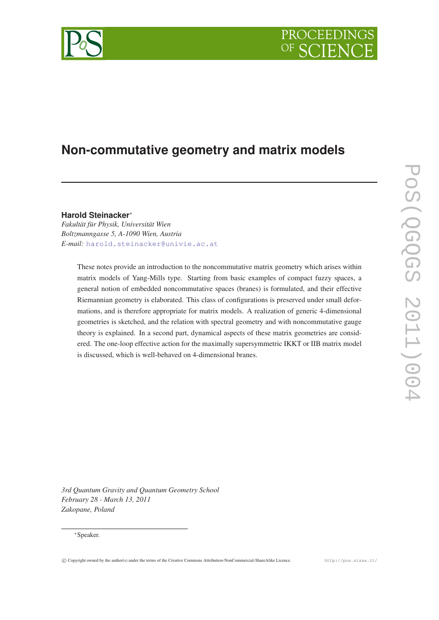# PROCEEDING



# **Non-commutative geometry and matrix models**

### **Harold Steinacker**<sup>∗</sup>

*Fakultät für Physik, Universität Wien Boltzmanngasse 5, A-1090 Wien, Austria E-mail:* [harold.steinacker@univie.ac.at](mailto:harold.steinacker@univie.ac.at)

> These notes provide an introduction to the noncommutative matrix geometry which arises within matrix models of Yang-Mills type. Starting from basic examples of compact fuzzy spaces, a general notion of embedded noncommutative spaces (branes) is formulated, and their effective Riemannian geometry is elaborated. This class of configurations is preserved under small deformations, and is therefore appropriate for matrix models. A realization of generic 4-dimensional geometries is sketched, and the relation with spectral geometry and with noncommutative gauge theory is explained. In a second part, dynamical aspects of these matrix geometries are considered. The one-loop effective action for the maximally supersymmetric IKKT or IIB matrix model is discussed, which is well-behaved on 4-dimensional branes.

*3rd Quantum Gravity and Quantum Geometry School February 28 - March 13, 2011 Zakopane, Poland*

#### <sup>∗</sup>Speaker.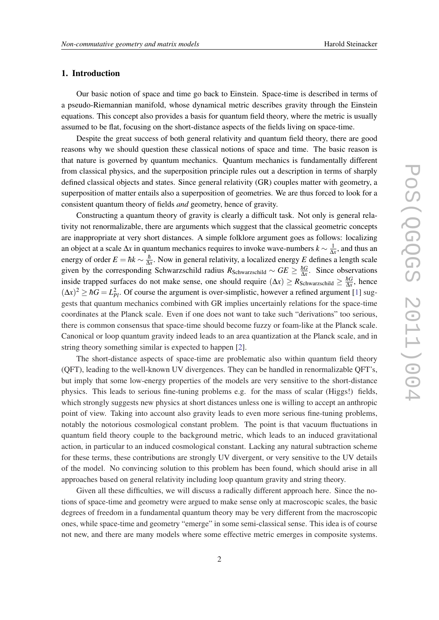#### 1. Introduction

Our basic notion of space and time go back to Einstein. Space-time is described in terms of a pseudo-Riemannian manifold, whose dynamical metric describes gravity through the Einstein equations. This concept also provides a basis for quantum field theory, where the metric is usually assumed to be flat, focusing on the short-distance aspects of the fields living on space-time.

Despite the great success of both general relativity and quantum field theory, there are good reasons why we should question these classical notions of space and time. The basic reason is that nature is governed by quantum mechanics. Quantum mechanics is fundamentally different from classical physics, and the superposition principle rules out a description in terms of sharply defined classical objects and states. Since general relativity (GR) couples matter with geometry, a superposition of matter entails also a superposition of geometries. We are thus forced to look for a consistent quantum theory of fields *and* geometry, hence of gravity.

Constructing a quantum theory of gravity is clearly a difficult task. Not only is general relativity not renormalizable, there are arguments which suggest that the classical geometric concepts are inappropriate at very short distances. A simple folklore argument goes as follows: localizing an object at a scale  $\Delta x$  in quantum mechanics requires to invoke wave-numbers  $k \sim \frac{1}{\Delta x}$ , and thus an energy of order  $E = \hbar k \sim \frac{\hbar}{\Delta}$ ∆*x* . Now in general relativity, a localized energy *E* defines a length scale given by the corresponding Schwarzschild radius  $R_{Schwarzschild} \sim GE \geq \frac{\hbar G}{\Delta x}$  $\frac{hG}{\Delta x}$ . Since observations inside trapped surfaces do not make sense, one should require ( $\Delta x$ ) ≥ *R*<sub>Schwarzschild</sub> ≥  $\frac{\hbar G}{\Delta x}$  $\frac{hG}{\Delta x}$ , hence  $(\Delta x)^2 \ge \hbar G = L_{Pl}^2$ . Of course the argument is over-simplistic, however a refined argument [\[1\]](#page-24-0) suggests that quantum mechanics combined with GR implies uncertainly relations for the space-time coordinates at the Planck scale. Even if one does not want to take such "derivations" too serious, there is common consensus that space-time should become fuzzy or foam-like at the Planck scale. Canonical or loop quantum gravity indeed leads to an area quantization at the Planck scale, and in string theory something similar is expected to happen [\[2\]](#page-24-0).

The short-distance aspects of space-time are problematic also within quantum field theory (QFT), leading to the well-known UV divergences. They can be handled in renormalizable QFT's, but imply that some low-energy properties of the models are very sensitive to the short-distance physics. This leads to serious fine-tuning problems e.g. for the mass of scalar (Higgs!) fields, which strongly suggests new physics at short distances unless one is willing to accept an anthropic point of view. Taking into account also gravity leads to even more serious fine-tuning problems, notably the notorious cosmological constant problem. The point is that vacuum fluctuations in quantum field theory couple to the background metric, which leads to an induced gravitational action, in particular to an induced cosmological constant. Lacking any natural subtraction scheme for these terms, these contributions are strongly UV divergent, or very sensitive to the UV details of the model. No convincing solution to this problem has been found, which should arise in all approaches based on general relativity including loop quantum gravity and string theory.

Given all these difficulties, we will discuss a radically different approach here. Since the notions of space-time and geometry were argued to make sense only at macroscopic scales, the basic degrees of freedom in a fundamental quantum theory may be very different from the macroscopic ones, while space-time and geometry "emerge" in some semi-classical sense. This idea is of course not new, and there are many models where some effective metric emerges in composite systems.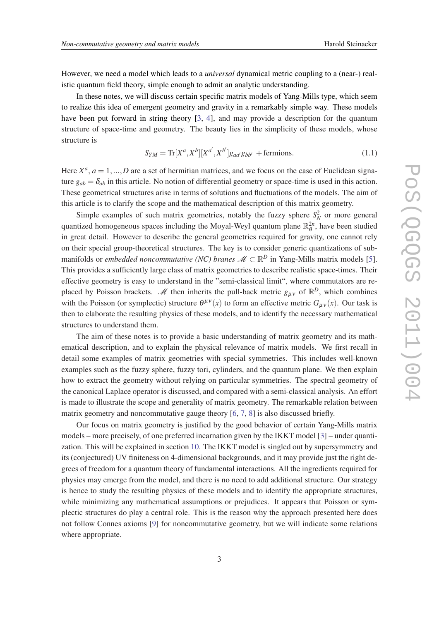<span id="page-2-0"></span>However, we need a model which leads to a *universal* dynamical metric coupling to a (near-) realistic quantum field theory, simple enough to admit an analytic understanding.

In these notes, we will discuss certain specific matrix models of Yang-Mills type, which seem to realize this idea of emergent geometry and gravity in a remarkably simple way. These models have been put forward in string theory [[3,](#page-24-0) [4](#page-24-0)], and may provide a description for the quantum structure of space-time and geometry. The beauty lies in the simplicity of these models, whose structure is

$$
S_{YM} = \text{Tr}[X^a, X^b][X^{a'}, X^{b'}]g_{aa'}g_{bb'} + \text{fermions.}
$$
 (1.1)

Here  $X^a$ ,  $a = 1,...,D$  are a set of hermitian matrices, and we focus on the case of Euclidean signature  $g_{ab} = \delta_{ab}$  in this article. No notion of differential geometry or space-time is used in this action. These geometrical structures arise in terms of solutions and fluctuations of the models. The aim of this article is to clarify the scope and the mathematical description of this matrix geometry.

Simple examples of such matrix geometries, notably the fuzzy sphere  $S_N^2$  or more general quantized homogeneous spaces including the Moyal-Weyl quantum plane  $\mathbb{R}_{\theta}^{2n}$ , have been studied in great detail. However to describe the general geometries required for gravity, one cannot rely on their special group-theoretical structures. The key is to consider generic quantizations of submanifolds or *embedded noncommutative (NC) branes*  $\mathscr{M} \subset \mathbb{R}^D$  *in Yang-Mills matrix models [\[5\]](#page-24-0).* This provides a sufficiently large class of matrix geometries to describe realistic space-times. Their effective geometry is easy to understand in the "semi-classical limit", where commutators are replaced by Poisson brackets. *M* then inherits the pull-back metric  $g_{\mu\nu}$  of  $\mathbb{R}^D$ , which combines with the Poisson (or symplectic) structure  $\theta^{\mu\nu}(x)$  to form an effective metric  $G_{\mu\nu}(x)$ . Our task is then to elaborate the resulting physics of these models, and to identify the necessary mathematical structures to understand them.

The aim of these notes is to provide a basic understanding of matrix geometry and its mathematical description, and to explain the physical relevance of matrix models. We first recall in detail some examples of matrix geometries with special symmetries. This includes well-known examples such as the fuzzy sphere, fuzzy tori, cylinders, and the quantum plane. We then explain how to extract the geometry without relying on particular symmetries. The spectral geometry of the canonical Laplace operator is discussed, and compared with a semi-classical analysis. An effort is made to illustrate the scope and generality of matrix geometry. The remarkable relation between matrix geometry and noncommutative gauge theory [[6,](#page-24-0) [7,](#page-24-0) [8\]](#page-24-0) is also discussed briefly.

Our focus on matrix geometry is justified by the good behavior of certain Yang-Mills matrix models – more precisely, of one preferred incarnation given by the IKKT model [\[3\]](#page-24-0) – under quantization. This will be explained in section [10.](#page-19-0) The IKKT model is singled out by supersymmetry and its (conjectured) UV finiteness on 4-dimensional backgrounds, and it may provide just the right degrees of freedom for a quantum theory of fundamental interactions. All the ingredients required for physics may emerge from the model, and there is no need to add additional structure. Our strategy is hence to study the resulting physics of these models and to identify the appropriate structures, while minimizing any mathematical assumptions or prejudices. It appears that Poisson or symplectic structures do play a central role. This is the reason why the approach presented here does not follow Connes axioms [\[9\]](#page-24-0) for noncommutative geometry, but we will indicate some relations where appropriate.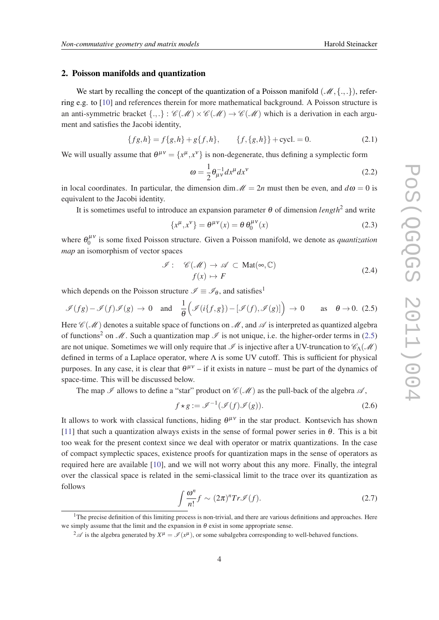#### <span id="page-3-0"></span>2. Poisson manifolds and quantization

We start by recalling the concept of the quantization of a Poisson manifold  $(\mathcal{M}, \{.,.\})$ , referring e.g. to [\[10](#page-24-0)] and references therein for more mathematical background. A Poisson structure is an anti-symmetric bracket  $\{.,.\} : \mathcal{C}(\mathcal{M}) \times \mathcal{C}(\mathcal{M}) \to \mathcal{C}(\mathcal{M})$  which is a derivation in each argument and satisfies the Jacobi identity,

$$
\{fg, h\} = f\{g, h\} + g\{f, h\}, \qquad \{f, \{g, h\}\} + \text{cycl.} = 0. \tag{2.1}
$$

We will usually assume that  $\theta^{\mu\nu} = \{x^{\mu}, x^{\nu}\}\$ is non-degenerate, thus defining a symplectic form

$$
\omega = \frac{1}{2} \theta_{\mu\nu}^{-1} dx^{\mu} dx^{\nu}
$$
 (2.2)

in local coordinates. In particular, the dimension dim  $\mathcal{M} = 2n$  must then be even, and  $d\omega = 0$  is equivalent to the Jacobi identity.

It is sometimes useful to introduce an expansion parameter  $\theta$  of dimension *length*<sup>2</sup> and write

$$
\{x^{\mu}, x^{\nu}\} = \theta^{\mu\nu}(x) = \theta \,\theta_0^{\mu\nu}(x) \tag{2.3}
$$

where  $\theta_0^{\mu\nu}$  $\int_0^{\mu \nu}$  is some fixed Poisson structure. Given a Poisson manifold, we denote as *quantization map* an isomorphism of vector spaces

$$
\mathcal{I}: \mathscr{C}(\mathcal{M}) \to \mathscr{A} \subset \text{Mat}(\infty, \mathbb{C})
$$
  

$$
f(x) \mapsto F
$$
 (2.4)

which depends on the Poisson structure  $\mathcal{I} \equiv \mathcal{I}_{\theta}$ , and satisfies<sup>1</sup>

$$
\mathscr{I}(fg) - \mathscr{I}(f)\mathscr{I}(g) \to 0 \quad \text{and} \quad \frac{1}{\theta} \Big( \mathscr{I}(i\{f,g\}) - [\mathscr{I}(f),\mathscr{I}(g)] \Big) \to 0 \qquad \text{as} \quad \theta \to 0. \tag{2.5}
$$

Here  $\mathscr{C}(\mathscr{M})$  denotes a suitable space of functions on  $\mathscr{M}$ , and  $\mathscr{A}$  is interpreted as quantized algebra of functions<sup>2</sup> on M. Such a quantization map  $\mathscr I$  is not unique, i.e. the higher-order terms in (2.5) are not unique. Sometimes we will only require that  $\Im$  is injective after a UV-truncation to  $\mathscr{C}_{\Lambda}(\mathscr{M})$ defined in terms of a Laplace operator, where Λ is some UV cutoff. This is sufficient for physical purposes. In any case, it is clear that  $\theta^{\mu\nu}$  – if it exists in nature – must be part of the dynamics of space-time. This will be discussed below.

The map  $\mathscr I$  allows to define a "star" product on  $\mathscr C(\mathscr M)$  as the pull-back of the algebra  $\mathscr A$ ,

$$
f \star g := \mathcal{I}^{-1}(\mathcal{I}(f)\mathcal{I}(g)). \tag{2.6}
$$

It allows to work with classical functions, hiding  $\theta^{\mu\nu}$  in the star product. Kontsevich has shown [[11\]](#page-24-0) that such a quantization always exists in the sense of formal power series in  $\theta$ . This is a bit too weak for the present context since we deal with operator or matrix quantizations. In the case of compact symplectic spaces, existence proofs for quantization maps in the sense of operators as required here are available [[10](#page-24-0)], and we will not worry about this any more. Finally, the integral over the classical space is related in the semi-classical limit to the trace over its quantization as follows

$$
\int \frac{\omega^n}{n!} f \sim (2\pi)^n Tr \mathcal{I}(f). \tag{2.7}
$$

 $<sup>1</sup>$ The precise definition of this limiting process is non-trivial, and there are various definitions and approaches. Here</sup> we simply assume that the limit and the expansion in  $\theta$  exist in some appropriate sense.

 $^2\mathscr{A}$  is the algebra generated by  $X^{\mu} = \mathscr{I}(x^{\mu})$ , or some subalgebra corresponding to well-behaved functions.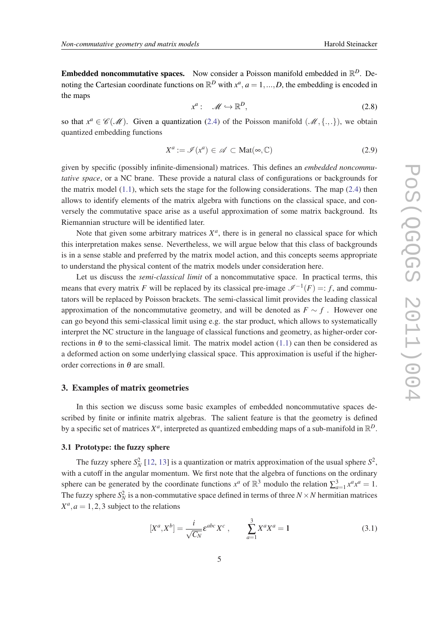<span id="page-4-0"></span>**Embedded noncommutative spaces.** Now consider a Poisson manifold embedded in  $\mathbb{R}^D$ . Denoting the Cartesian coordinate functions on  $\mathbb{R}^D$  with  $x^a$ ,  $a = 1, ..., D$ , the embedding is encoded in the maps

$$
x^a: \quad \mathscr{M} \hookrightarrow \mathbb{R}^D, \tag{2.8}
$$

so that  $x^a \in \mathcal{C}(\mathcal{M})$ . Given a quantization [\(2.4\)](#page-3-0) of the Poisson manifold  $(\mathcal{M}, \{.,.\})$ , we obtain quantized embedding functions

$$
X^a := \mathcal{I}(x^a) \in \mathcal{A} \subset \text{Mat}(\infty, \mathbb{C}) \tag{2.9}
$$

given by specific (possibly infinite-dimensional) matrices. This defines an *embedded noncommutative space*, or a NC brane. These provide a natural class of configurations or backgrounds for the matrix model  $(1.1)$ , which sets the stage for the following considerations. The map  $(2.4)$  $(2.4)$  $(2.4)$  then allows to identify elements of the matrix algebra with functions on the classical space, and conversely the commutative space arise as a useful approximation of some matrix background. Its Riemannian structure will be identified later.

Note that given some arbitrary matrices  $X^a$ , there is in general no classical space for which this interpretation makes sense. Nevertheless, we will argue below that this class of backgrounds is in a sense stable and preferred by the matrix model action, and this concepts seems appropriate to understand the physical content of the matrix models under consideration here.

Let us discuss the *semi-classical limit* of a noncommutative space. In practical terms, this means that every matrix *F* will be replaced by its classical pre-image  $\mathcal{I}^{-1}(F) =: f$ , and commutators will be replaced by Poisson brackets. The semi-classical limit provides the leading classical approximation of the noncommutative geometry, and will be denoted as  $F \sim f$ . However one can go beyond this semi-classical limit using e.g. the star product, which allows to systematically interpret the NC structure in the language of classical functions and geometry, as higher-order corrections in  $\theta$  to the semi-classical limit. The matrix model action [\(1.1](#page-2-0)) can then be considered as a deformed action on some underlying classical space. This approximation is useful if the higherorder corrections in  $\theta$  are small.

#### 3. Examples of matrix geometries

In this section we discuss some basic examples of embedded noncommutative spaces described by finite or infinite matrix algebras. The salient feature is that the geometry is defined by a specific set of matrices  $X^a$ , interpreted as quantized embedding maps of a sub-manifold in  $\mathbb{R}^D$ .

#### 3.1 Prototype: the fuzzy sphere

The fuzzy sphere  $S_N^2$  [[12,](#page-24-0) [13](#page-24-0)] is a quantization or matrix approximation of the usual sphere  $S^2$ , with a cutoff in the angular momentum. We first note that the algebra of functions on the ordinary sphere can be generated by the coordinate functions  $x^a$  of  $\mathbb{R}^3$  modulo the relation  $\sum_{a=1}^3 x^a x^a = 1$ . The fuzzy sphere  $S_N^2$  is a non-commutative space defined in terms of three  $N \times N$  hermitian matrices  $X^a$ ,  $a = 1, 2, 3$  subject to the relations

$$
[X^{a}, X^{b}] = \frac{i}{\sqrt{C_N}} \varepsilon^{abc} X^{c} , \qquad \sum_{a=1}^{3} X^{a} X^{a} = 1
$$
 (3.1)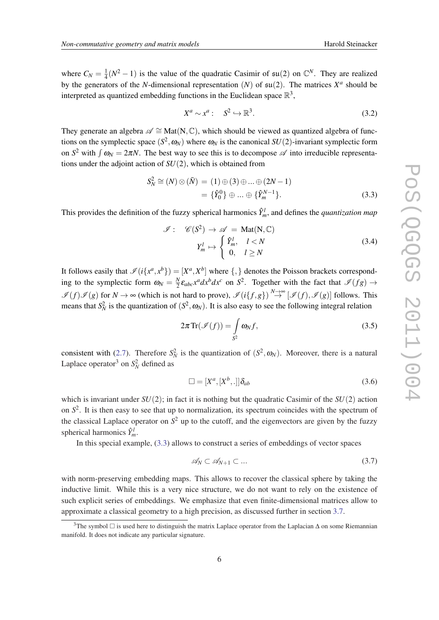<span id="page-5-0"></span>where  $C_N = \frac{1}{4}$  $\frac{1}{4}(N^2-1)$  is the value of the quadratic Casimir of  $\mathfrak{su}(2)$  on  $\mathbb{C}^N$ . They are realized by the generators of the *N*-dimensional representation  $(N)$  of  $\mathfrak{su}(2)$ . The matrices  $X^a$  should be interpreted as quantized embedding functions in the Euclidean space  $\mathbb{R}^3$ ,

$$
X^a \sim x^a: \quad S^2 \hookrightarrow \mathbb{R}^3. \tag{3.2}
$$

They generate an algebra  $\mathscr{A} \cong \text{Mat}(N, \mathbb{C})$ , which should be viewed as quantized algebra of functions on the symplectic space  $(S^2, \omega_N)$  where  $\omega_N$  is the canonical  $SU(2)$ -invariant symplectic form on  $S^2$  with  $\int \omega_N = 2\pi N$ . The best way to see this is to decompose  $\mathscr A$  into irreducible representations under the adjoint action of *SU*(2), which is obtained from

$$
S_N^2 \cong (N) \otimes (\bar{N}) = (1) \oplus (3) \oplus ... \oplus (2N - 1) = \{\hat{Y}_0^0\} \oplus ... \oplus \{\hat{Y}_m^{N-1}\}.
$$
 (3.3)

This provides the definition of the fuzzy spherical harmonics  $\hat{Y}^l_m$ , and defines the *quantization map* 

$$
\mathcal{I}: \mathscr{C}(S^2) \to \mathscr{A} = \text{Mat}(N, \mathbb{C})
$$

$$
Y_m^l \mapsto \begin{cases} \hat{Y}_m^l, & l < N \\ 0, & l \ge N \end{cases} \tag{3.4}
$$

It follows easily that  $\mathscr{I}(i\{x^a, x^b\}) = [X^a, X^b]$  where  $\{,\}$  denotes the Poisson brackets corresponding to the symplectic form  $\omega_N = \frac{N}{2}$  $\frac{N}{2}\varepsilon_{abc}x^a dx^b dx^c$  on  $S^2$ . Together with the fact that  $\mathscr{I}(fg) \to$  $\mathscr{I}(f)\mathscr{I}(g)$  for  $N \to \infty$  (which is not hard to prove),  $\mathscr{I}(i\{f,g\}) \stackrel{N \to \infty}{\to} [\mathscr{I}(f), \mathscr{I}(g)]$  follows. This means that  $S_N^2$  is the quantization of  $(S^2, \omega_N)$ . It is also easy to see the following integral relation

$$
2\pi \operatorname{Tr}(\mathscr{I}(f)) = \int_{S^2} \omega_N f,\tag{3.5}
$$

consistent with [\(2.7\)](#page-3-0). Therefore  $S_N^2$  is the quantization of  $(S^2, \omega_N)$ . Moreover, there is a natural Laplace operator<sup>3</sup> on  $S_N^2$  defined as

$$
\Box = [X^a, [X^b, .]]\delta_{ab} \tag{3.6}
$$

which is invariant under  $SU(2)$ ; in fact it is nothing but the quadratic Casimir of the  $SU(2)$  action on  $S<sup>2</sup>$ . It is then easy to see that up to normalization, its spectrum coincides with the spectrum of the classical Laplace operator on  $S^2$  up to the cutoff, and the eigenvectors are given by the fuzzy spherical harmonics  $\hat{Y}_{m}^{l}$ .

In this special example, (3.3) allows to construct a series of embeddings of vector spaces

$$
\mathscr{A}_N \subset \mathscr{A}_{N+1} \subset \dots \tag{3.7}
$$

with norm-preserving embedding maps. This allows to recover the classical sphere by taking the inductive limit. While this is a very nice structure, we do not want to rely on the existence of such explicit series of embeddings. We emphasize that even finite-dimensional matrices allow to approximate a classical geometry to a high precision, as discussed further in section [3.7](#page-12-0).

<sup>&</sup>lt;sup>3</sup>The symbol  $\Box$  is used here to distinguish the matrix Laplace operator from the Laplacian  $\Delta$  on some Riemannian manifold. It does not indicate any particular signature.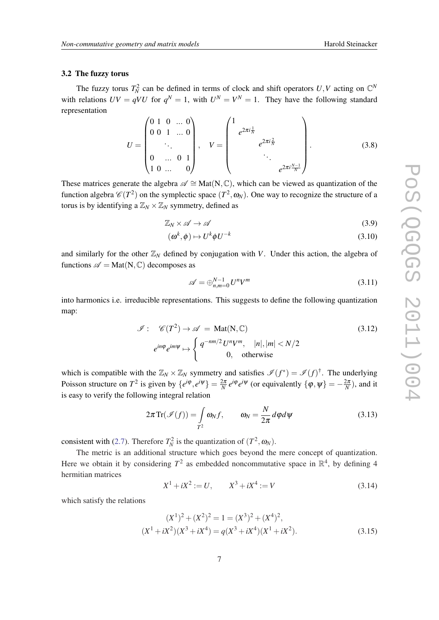#### <span id="page-6-0"></span>3.2 The fuzzy torus

The fuzzy torus  $T_N^2$  can be defined in terms of clock and shift operators  $U, V$  acting on  $\mathbb{C}^N$ with relations  $UV = qVU$  for  $q^N = 1$ , with  $U^N = V^N = 1$ . They have the following standard representation

$$
U = \begin{pmatrix} 0 & 1 & 0 & \dots & 0 \\ 0 & 0 & 1 & \dots & 0 \\ & & \ddots & & \\ 0 & \dots & 0 & 1 \\ 1 & 0 & \dots & 0 \end{pmatrix}, \quad V = \begin{pmatrix} 1 & & & & \\ & e^{2\pi i \frac{1}{N}} & & & \\ & & e^{2\pi i \frac{N}{N}} & & \\ & & & \ddots & \\ & & & & e^{2\pi i \frac{N-1}{N}} \end{pmatrix}.
$$
 (3.8)

These matrices generate the algebra  $\mathscr{A} \cong \text{Mat}(N, \mathbb{C})$ , which can be viewed as quantization of the function algebra  $\mathscr{C}(T^2)$  on the symplectic space  $(T^2, \omega_N)$ . One way to recognize the structure of a torus is by identifying a  $\mathbb{Z}_N \times \mathbb{Z}_N$  symmetry, defined as

$$
\mathbb{Z}_N \times \mathscr{A} \to \mathscr{A} \tag{3.9}
$$

$$
(\boldsymbol{\omega}^k, \boldsymbol{\phi}) \mapsto U^k \boldsymbol{\phi} U^{-k} \tag{3.10}
$$

and similarly for the other  $\mathbb{Z}_N$  defined by conjugation with *V*. Under this action, the algebra of functions  $\mathscr{A} = \text{Mat}(N, \mathbb{C})$  decomposes as

$$
\mathscr{A} = \bigoplus_{n,m=0}^{N-1} U^n V^m \tag{3.11}
$$

into harmonics i.e. irreducible representations. This suggests to define the following quantization map:

$$
\mathcal{I}: \mathcal{C}(T^2) \to \mathcal{A} = \text{Mat}(N, \mathbb{C})
$$
\n
$$
e^{in\varphi}e^{im\psi} \mapsto \begin{cases} q^{-nm/2}U^nV^m, & |n|, |m| < N/2\\ 0, & \text{otherwise} \end{cases}
$$
\n(3.12)

which is compatible with the  $\mathbb{Z}_N \times \mathbb{Z}_N$  symmetry and satisfies  $\mathscr{I}(f^*) = \mathscr{I}(f)^\dagger$ . The underlying Poisson structure on  $T^2$  is given by  $\{e^{i\phi}, e^{i\psi}\} = \frac{2\pi}{N} e^{i\phi} e^{i\psi}$  (or equivalently  $\{\phi, \psi\} = -\frac{2\pi}{N}$ ), and it is easy to verify the following integral relation

$$
2\pi \operatorname{Tr}(\mathscr{I}(f)) = \int_{T^2} \omega_N f, \qquad \omega_N = \frac{N}{2\pi} d\varphi d\psi \tag{3.13}
$$

consistent with [\(2.7](#page-3-0)). Therefore  $T_N^2$  is the quantization of  $(T^2, \omega_N)$ .

The metric is an additional structure which goes beyond the mere concept of quantization. Here we obtain it by considering  $T^2$  as embedded noncommutative space in  $\mathbb{R}^4$ , by defining 4 hermitian matrices

$$
X^{1} + iX^{2} := U, \qquad X^{3} + iX^{4} := V \tag{3.14}
$$

which satisfy the relations

$$
(X1)2 + (X2)2 = 1 = (X3)2 + (X4)2,
$$
  
\n
$$
(X1 + iX2)(X3 + iX4) = q(X3 + iX4)(X1 + iX2).
$$
\n(3.15)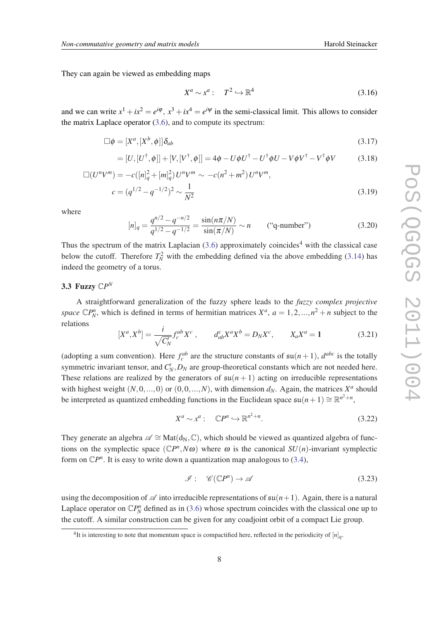They can again be viewed as embedding maps

$$
X^a \sim x^a: \quad T^2 \hookrightarrow \mathbb{R}^4 \tag{3.16}
$$

and we can write  $x^1 + ix^2 = e^{i\varphi}$ ,  $x^3 + ix^4 = e^{i\psi}$  in the semi-classical limit. This allows to consider the matrix Laplace operator ([3.6](#page-5-0)), and to compute its spectrum:

$$
\Box \phi = [X^a, [X^b, \phi]] \delta_{ab} \tag{3.17}
$$

$$
= [U, [U^{\dagger}, \phi]] + [V, [V^{\dagger}, \phi]] = 4\phi - U\phi U^{\dagger} - U^{\dagger}\phi U - V\phi V^{\dagger} - V^{\dagger}\phi V \qquad (3.18)
$$

$$
\Box(U^{n}V^{m}) = -c([n]_{q}^{2} + [m]_{q}^{2})U^{n}V^{m} \sim -c(n^{2} + m^{2})U^{n}V^{m},
$$
  
\n
$$
c = (q^{1/2} - q^{-1/2})^{2} \sim \frac{1}{N^{2}}
$$
\n(3.19)

where

$$
[n]_q = \frac{q^{n/2} - q^{-n/2}}{q^{1/2} - q^{-1/2}} = \frac{\sin(n\pi/N)}{\sin(\pi/N)} \sim n \qquad \text{("q-number")} \tag{3.20}
$$

Thus the spectrum of the matrix Laplacian  $(3.6)$  approximately coincides<sup>4</sup> with the classical case below the cutoff. Therefore  $T_N^2$  with the embedding defined via the above embedding [\(3.14](#page-6-0)) has indeed the geometry of a torus.

## 3.3 Fuzzy  $\mathbb{C}P^N$

A straightforward generalization of the fuzzy sphere leads to the *fuzzy complex projective space*  $\mathbb{C}P_N^n$ , which is defined in terms of hermitian matrices  $X^a$ ,  $a = 1, 2, ..., n^2 + n$  subject to the relations

$$
[X^a, X^b] = \frac{i}{\sqrt{C_N'}} f_c^{ab} X^c , \qquad d_{ab}^c X^a X^b = D_N X^c , \qquad X_a X^a = 1
$$
 (3.21)

(adopting a sum convention). Here  $f_c^{ab}$  are the structure constants of  $\mathfrak{su}(n+1)$ ,  $d^{abc}$  is the totally symmetric invariant tensor, and  $C_N$ ,  $D_N$  are group-theoretical constants which are not needed here. These relations are realized by the generators of  $\mathfrak{su}(n+1)$  acting on irreducible representations with highest weight  $(N,0,...,0)$  or  $(0,0,...,N)$ , with dimension  $d_N$ . Again, the matrices  $X^a$  should be interpreted as quantized embedding functions in the Euclidean space  $\mathfrak{su}(n+1) \cong \mathbb{R}^{n^2+n}$ ,

$$
X^a \sim x^a: \quad \mathbb{C}P^n \hookrightarrow \mathbb{R}^{n^2+n}.\tag{3.22}
$$

They generate an algebra  $\mathscr{A} \cong \text{Mat}(d_N,\mathbb{C})$ , which should be viewed as quantized algebra of functions on the symplectic space  $(\mathbb{C}P^n, N\omega)$  where  $\omega$  is the canonical  $SU(n)$ -invariant symplectic form on  $\mathbb{C}P^n$ . It is easy to write down a quantization map analogous to [\(3.4\)](#page-5-0),

$$
\mathcal{I}: \mathscr{C}(\mathbb{C}P^n) \to \mathscr{A} \tag{3.23}
$$

using the decomposition of  $\mathscr A$  into irreducible representations of  $\mathfrak{su}(n+1)$ . Again, there is a natural Laplace operator on  $\mathbb{C}P_N^n$  defined as in ([3.6](#page-5-0)) whose spectrum coincides with the classical one up to the cutoff. A similar construction can be given for any coadjoint orbit of a compact Lie group.

<sup>&</sup>lt;sup>4</sup>It is interesting to note that momentum space is compactified here, reflected in the periodicity of  $[n]_q$ .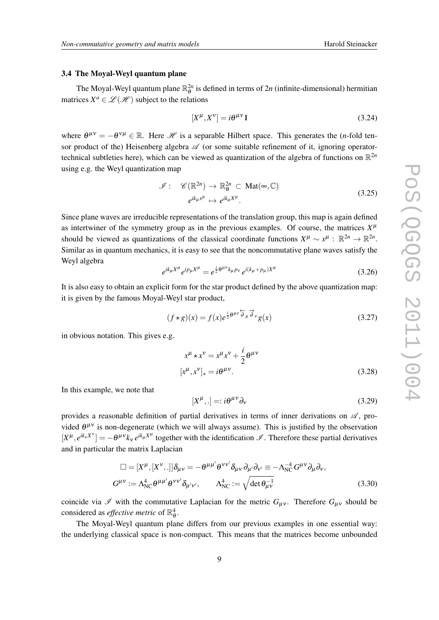#### 3.4 The Moyal-Weyl quantum plane

The Moyal-Weyl quantum plane  $\mathbb{R}_{\theta}^{2n}$  is defined in terms of  $2n$  (infinite-dimensional) hermitian matrices  $X^a \in \mathcal{L}(\mathcal{H})$  subject to the relations

$$
[X^{\mu}, X^{\nu}] = i\theta^{\mu\nu}\mathbf{1} \tag{3.24}
$$

where  $\theta^{\mu\nu} = -\theta^{\nu\mu} \in \mathbb{R}$ . Here *H* is a separable Hilbert space. This generates the (*n*-fold tensor product of the) Heisenberg algebra  $\mathscr A$  (or some suitable refinement of it, ignoring operatortechnical subtleties here), which can be viewed as quantization of the algebra of functions on  $\mathbb{R}^{2n}$ using e.g. the Weyl quantization map

$$
\mathcal{I}: \mathscr{C}(\mathbb{R}^{2n}) \to \mathbb{R}_{\theta}^{2n} \subset \text{Mat}(\infty, \mathbb{C})
$$
  

$$
e^{ik_{\mu}x^{\mu}} \mapsto e^{ik_{\mu}X^{\mu}}.
$$
 (3.25)

Since plane waves are irreducible representations of the translation group, this map is again defined as intertwiner of the symmetry group as in the previous examples. Of course, the matrices  $X^{\mu}$ should be viewed as quantizations of the classical coordinate functions  $X^{\mu} \sim x^{\mu}$ :  $\mathbb{R}^{2n} \to \mathbb{R}^{2n}$ . Similar as in quantum mechanics, it is easy to see that the noncommutative plane waves satisfy the Weyl algebra

$$
e^{ik_{\mu}X^{\mu}}e^{ip_{\mu}X^{\mu}} = e^{\frac{i}{2}\theta^{\mu\nu}k_{\mu}p_{\nu}}e^{i(k_{\mu}+p_{\mu})X^{\mu}}
$$
(3.26)

It is also easy to obtain an explicit form for the star product defined by the above quantization map: it is given by the famous Moyal-Weyl star product,

$$
(f \star g)(x) = f(x)e^{\frac{i}{2}\theta^{\mu\nu}\overleftrightarrow{\partial}_{\mu}\overrightarrow{\partial}_{\nu}}g(x)
$$
\n(3.27)

in obvious notation. This gives e.g.

$$
x^{\mu} \star x^{\nu} = x^{\mu} x^{\nu} + \frac{i}{2} \theta^{\mu \nu}
$$
  

$$
[x^{\mu}, x^{\nu}]_{\star} = i \theta^{\mu \nu}.
$$
 (3.28)

In this example, we note that

$$
[X^{\mu},.]=:i\theta^{\mu\nu}\partial_{\nu}
$$
\n(3.29)

provides a reasonable definition of partial derivatives in terms of inner derivations on  $\mathscr{A}$ , provided  $\theta^{\mu\nu}$  is non-degenerate (which we will always assume). This is justified by the observation  $[X^{\mu}, e^{ik_{\nu}X^{\nu}}] = -\theta^{\mu\nu}k_{\nu}e^{ik_{\mu}X^{\mu}}$  together with the identification  $\mathscr{I}$ . Therefore these partial derivatives and in particular the matrix Laplacian

$$
\Box = [X^{\mu}, [X^{\nu}, .]] \delta_{\mu\nu} = -\theta^{\mu\mu'} \theta^{\nu\nu'} \delta_{\mu\nu} \partial_{\mu'} \partial_{\nu'} \equiv -\Lambda_{NC}^{-4} G^{\mu\nu} \partial_{\mu} \partial_{\nu},
$$
  

$$
G^{\mu\nu} := \Lambda_{NC}^{4} \theta^{\mu\mu'} \theta^{\nu\nu'} \delta_{\mu'\nu'}, \qquad \Lambda_{NC}^{4} := \sqrt{\det \theta_{\mu\nu}^{-1}} \tag{3.30}
$$

coincide via  $\mathscr I$  with the commutative Laplacian for the metric  $G_{\mu\nu}$ . Therefore  $G_{\mu\nu}$  should be considered as *effective metric* of  $\mathbb{R}^4_\theta$ .

The Moyal-Weyl quantum plane differs from our previous examples in one essential way: the underlying classical space is non-compact. This means that the matrices become unbounded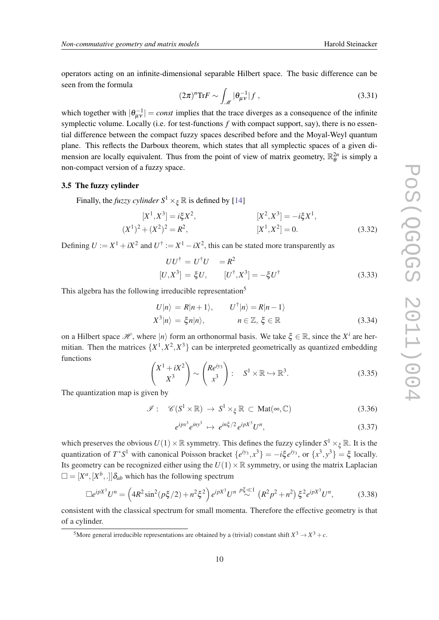operators acting on an infinite-dimensional separable Hilbert space. The basic difference can be seen from the formula

$$
(2\pi)^n \text{Tr} F \sim \int_{\mathcal{M}} |\theta_{\mu\nu}^{-1}| f , \qquad (3.31)
$$

which together with  $|\theta_{\mu\nu}^{-1}|$  = *const* implies that the trace diverges as a consequence of the infinite symplectic volume. Locally (i.e. for test-functions  $f$  with compact support, say), there is no essential difference between the compact fuzzy spaces described before and the Moyal-Weyl quantum plane. This reflects the Darboux theorem, which states that all symplectic spaces of a given dimension are locally equivalent. Thus from the point of view of matrix geometry,  $\mathbb{R}_{\theta}^{2n}$  is simply a non-compact version of a fuzzy space.

#### 3.5 The fuzzy cylinder

Finally, the *fuzzy cylinder*  $S^1 \times_{\xi} \mathbb{R}$  is defined by [\[14](#page-24-0)]

$$
[X1, X3] = i\xi X2, (X1)2 + (X2)2 = R2,
$$
  

$$
[X1, X2] = 0.
$$
 (3.32)

Defining  $U := X^1 + iX^2$  and  $U^{\dagger} := X^1 - iX^2$ , this can be stated more transparently as

$$
UU^{\dagger} = U^{\dagger}U = R^2
$$
  
[U, X<sup>3</sup>] =  $\xi U$ ,  $[U^{\dagger}, X^3] = -\xi U^{\dagger}$  (3.33)

This algebra has the following irreducible representation<sup>5</sup>

$$
U|n\rangle = R|n+1\rangle, \qquad U^{\dagger}|n\rangle = R|n-1\rangle
$$
  

$$
X^3|n\rangle = \xi n|n\rangle, \qquad n \in \mathbb{Z}, \xi \in \mathbb{R}
$$
 (3.34)

on a Hilbert space  $\mathcal{H}$ , where  $|n\rangle$  form an orthonormal basis. We take  $\xi \in \mathbb{R}$ , since the  $X^i$  are hermitian. Then the matrices  $\{X^1, X^2, X^3\}$  can be interpreted geometrically as quantized embedding functions

$$
\begin{pmatrix} X^1 + iX^2 \\ X^3 \end{pmatrix} \sim \begin{pmatrix} Re^{iy_3} \\ x^3 \end{pmatrix} : S^1 \times \mathbb{R} \hookrightarrow \mathbb{R}^3.
$$
 (3.35)

The quantization map is given by

$$
\mathcal{I}: \mathscr{C}(S^1 \times \mathbb{R}) \to S^1 \times_{\xi} \mathbb{R} \subset \text{Mat}(\infty, \mathbb{C}) \tag{3.36}
$$

$$
e^{ipx^3}e^{iny^3} \mapsto e^{in\xi/2}e^{ipX^3}U^n,\tag{3.37}
$$

which preserves the obvious  $U(1) \times \mathbb{R}$  symmetry. This defines the fuzzy cylinder  $S^1 \times_{\xi} \mathbb{R}$ . It is the quantization of  $T^*S^1$  with canonical Poisson bracket  $\{e^{iy_3}, x^3\} = -i\xi e^{iy_3}$ , or  $\{x^3, y^3\} = \xi$  locally. Its geometry can be recognized either using the  $U(1) \times \mathbb{R}$  symmetry, or using the matrix Laplacian  $\square = [X^a, [X^b, .]]\delta_{ab}$  which has the following spectrum

$$
\Box e^{ipX^3}U^n = \left(4R^2\sin^2(p\xi/2) + n^2\xi^2\right)e^{ipX^3}U^{n} \stackrel{p\xi \ll 1}{\sim} \left(R^2p^2 + n^2\right)\xi^2e^{ipX^3}U^n,\tag{3.38}
$$

consistent with the classical spectrum for small momenta. Therefore the effective geometry is that of a cylinder.

<sup>&</sup>lt;sup>5</sup>More general irreducible representations are obtained by a (trivial) constant shift  $X^3 \to X^3 + c$ .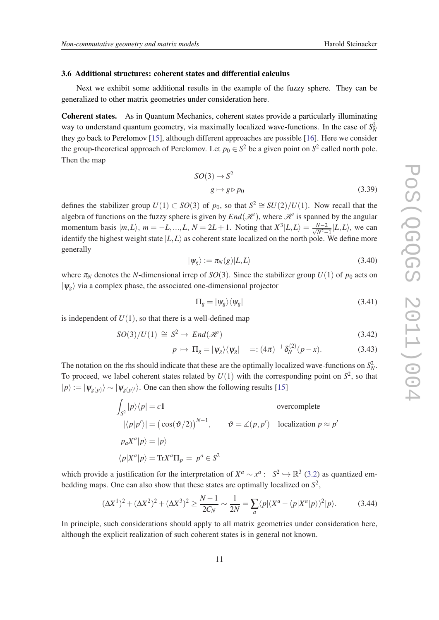#### <span id="page-10-0"></span>3.6 Additional structures: coherent states and differential calculus

Next we exhibit some additional results in the example of the fuzzy sphere. They can be generalized to other matrix geometries under consideration here.

Coherent states. As in Quantum Mechanics, coherent states provide a particularly illuminating way to understand quantum geometry, via maximally localized wave-functions. In the case of  $S_N^2$ they go back to Perelomov [\[15](#page-24-0)], although different approaches are possible [\[16](#page-25-0)]. Here we consider the group-theoretical approach of Perelomov. Let  $p_0 \in S^2$  be a given point on  $S^2$  called north pole. Then the map

$$
SO(3) \to S^2
$$
  
  $g \mapsto g \triangleright p_0$  (3.39)

defines the stabilizer group  $U(1) \subset SO(3)$  of  $p_0$ , so that  $S^2 \cong SU(2)/U(1)$ . Now recall that the algebra of functions on the fuzzy sphere is given by  $End(\mathcal{H})$ , where  $\mathcal H$  is spanned by the angular momentum basis  $|m,L\rangle$ ,  $m = -L, ..., L, N = 2L + 1$ . Noting that  $X^3|L,L\rangle = \frac{N-2}{\sqrt{N^2}}$  $\frac{N-2}{N^2-1}$   $|L,L\rangle$ , we can identify the highest weight state  $|L,L\rangle$  as coherent state localized on the north pole. We define more generally

$$
|\psi_g\rangle := \pi_N(g)|L, L\rangle \tag{3.40}
$$

where  $\pi_N$  denotes the *N*-dimensional irrep of *SO*(3). Since the stabilizer group  $U(1)$  of  $p_0$  acts on  $|\psi_g\rangle$  via a complex phase, the associated one-dimensional projector

$$
\Pi_g = |\psi_g\rangle\langle\psi_g| \tag{3.41}
$$

is independent of  $U(1)$ , so that there is a well-defined map

$$
SO(3)/U(1) \cong S^2 \to End(\mathcal{H})
$$
\n(3.42)

$$
p \mapsto \Pi_g = |\psi_g\rangle\langle\psi_g| =: (4\pi)^{-1} \delta_N^{(2)}(p-x). \tag{3.43}
$$

The notation on the rhs should indicate that these are the optimally localized wave-functions on  $S_N^2$ . To proceed, we label coherent states related by  $U(1)$  with the corresponding point on  $S^2$ , so that  $|p\rangle := |\psi_{g(p)}\rangle \sim |\psi_{g(p)}\rangle$ . One can then show the following results [\[15](#page-24-0)]

$$
\int_{S^2} |p\rangle\langle p| = c1
$$
\novercomplete\n
$$
|\langle p|p'\rangle| = (\cos(\vartheta/2))^{N-1}, \qquad \vartheta = \angle(p, p')
$$
\nlocalization\n
$$
p \approx p'
$$
\n
$$
p_a X^a |p\rangle = |p\rangle
$$
\n
$$
\langle p|X^a |p\rangle = \text{Tr}X^a \Pi_p = p^a \in S^2
$$

which provide a justification for the interpretation of  $X^a \sim x^a: S^2 \hookrightarrow \mathbb{R}^3$  [\(3.2](#page-5-0)) as quantized embedding maps. One can also show that these states are optimally localized on *S* 2 ,

$$
(\Delta X^1)^2 + (\Delta X^2)^2 + (\Delta X^3)^2 \ge \frac{N-1}{2C_N} \sim \frac{1}{2N} = \sum_a \langle p | (X^a - \langle p | X^a | p \rangle)^2 | p \rangle.
$$
 (3.44)

In principle, such considerations should apply to all matrix geometries under consideration here, although the explicit realization of such coherent states is in general not known.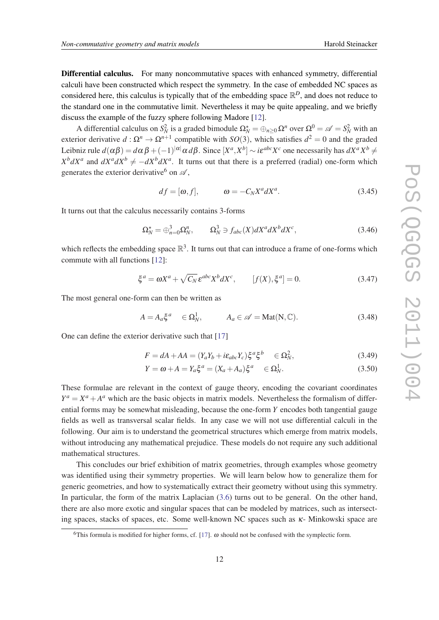Differential calculus. For many noncommutative spaces with enhanced symmetry, differential calculi have been constructed which respect the symmetry. In the case of embedded NC spaces as considered here, this calculus is typically that of the embedding space  $\mathbb{R}^D$ , and does not reduce to the standard one in the commutative limit. Nevertheless it may be quite appealing, and we briefly discuss the example of the fuzzy sphere following Madore [\[12](#page-24-0)].

A differential calculus on  $S_N^2$  is a graded bimodule  $\Omega_N^* = \bigoplus_{n \geq 0} \Omega^n$  over  $\Omega^0 = \mathscr{A} = S_N^2$  with an exterior derivative  $d: \Omega^n \to \Omega^{n+1}$  compatible with  $SO(3)$ , which satisfies  $d^2 = 0$  and the graded Leibniz rule  $d(\alpha\beta) = d\alpha\beta + (-1)^{|\alpha|}\alpha\,d\beta$ . Since  $[X^a, X^b] \sim i\epsilon^{abc}X^c$  one necessarily has  $dX^aX^b \neq$  $X^b dX^a$  and  $dX^a dX^b \neq -dX^b dX^a$ . It turns out that there is a preferred (radial) one-form which generates the exterior derivative <sup>6</sup> on  $\mathscr{A}$ ,

$$
df = [\omega, f], \qquad \omega = -C_N X^a dX^a. \tag{3.45}
$$

It turns out that the calculus necessarily contains 3-forms

$$
\Omega_N^* = \bigoplus_{n=0}^3 \Omega_N^n, \qquad \Omega_N^3 \ni f_{abc}(X) dX^a dX^b dX^c,\tag{3.46}
$$

which reflects the embedding space  $\mathbb{R}^3$ . It turns out that can introduce a frame of one-forms which commute with all functions [\[12](#page-24-0)]:

$$
\xi^a = \omega X^a + \sqrt{C_N} \,\varepsilon^{abc} X^b dX^c, \qquad [f(X), \xi^a] = 0. \tag{3.47}
$$

The most general one-form can then be written as

$$
A = A_a \xi^a \quad \in \Omega^1_N, \qquad A_a \in \mathscr{A} = \text{Mat}(N, \mathbb{C}). \tag{3.48}
$$

One can define the exterior derivative such that [[17\]](#page-25-0)

$$
F = dA + AA = (Y_a Y_b + i\epsilon_{abc} Y_c) \xi^a \xi^b \in \Omega_N^2,\tag{3.49}
$$

$$
Y = \omega + A = Y_a \xi^a = (X_a + A_a) \xi^a \quad \in \Omega^1_N. \tag{3.50}
$$

These formulae are relevant in the context of gauge theory, encoding the covariant coordinates  $Y^a = X^a + A^a$  which are the basic objects in matrix models. Nevertheless the formalism of differential forms may be somewhat misleading, because the one-form *Y* encodes both tangential gauge fields as well as transversal scalar fields. In any case we will not use differential calculi in the following. Our aim is to understand the geometrical structures which emerge from matrix models, without introducing any mathematical prejudice. These models do not require any such additional mathematical structures.

This concludes our brief exhibition of matrix geometries, through examples whose geometry was identified using their symmetry properties. We will learn below how to generalize them for generic geometries, and how to systematically extract their geometry without using this symmetry. In particular, the form of the matrix Laplacian ([3.6](#page-5-0)) turns out to be general. On the other hand, there are also more exotic and singular spaces that can be modeled by matrices, such as intersecting spaces, stacks of spaces, etc. Some well-known NC spaces such as κ- Minkowski space are

<sup>&</sup>lt;sup>6</sup>This formula is modified for higher forms, cf. [\[17](#page-25-0)].  $\omega$  should not be confused with the symplectic form.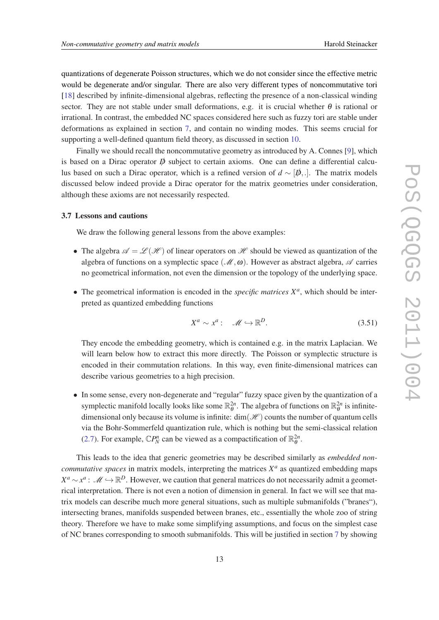<span id="page-12-0"></span>quantizations of degenerate Poisson structures, which we do not consider since the effective metric would be degenerate and/or singular. There are also very different types of noncommutative tori [[18\]](#page-25-0) described by infinite-dimensional algebras, reflecting the presence of a non-classical winding sector. They are not stable under small deformations, e.g. it is crucial whether  $\theta$  is rational or irrational. In contrast, the embedded NC spaces considered here such as fuzzy tori are stable under deformations as explained in section [7,](#page-17-0) and contain no winding modes. This seems crucial for supporting a well-defined quantum field theory, as discussed in section [10](#page-19-0).

Finally we should recall the noncommutative geometry as introduced by A. Connes [[9](#page-24-0)], which is based on a Dirac operator  $\vec{p}$  subject to certain axioms. One can define a differential calculus based on such a Dirac operator, which is a refined version of *d* ∼ [*D*/,.]. The matrix models discussed below indeed provide a Dirac operator for the matrix geometries under consideration, although these axioms are not necessarily respected.

#### 3.7 Lessons and cautions

We draw the following general lessons from the above examples:

- The algebra  $\mathscr{A} = \mathscr{L}(\mathscr{H})$  of linear operators on  $\mathscr{H}$  should be viewed as quantization of the algebra of functions on a symplectic space ( $\mathcal{M}, \omega$ ). However as abstract algebra,  $\mathcal{A}$  carries no geometrical information, not even the dimension or the topology of the underlying space.
- The geometrical information is encoded in the *specific matrices X<sup>a</sup>* , which should be interpreted as quantized embedding functions

$$
X^a \sim x^a: \quad \mathcal{M} \hookrightarrow \mathbb{R}^D. \tag{3.51}
$$

They encode the embedding geometry, which is contained e.g. in the matrix Laplacian. We will learn below how to extract this more directly. The Poisson or symplectic structure is encoded in their commutation relations. In this way, even finite-dimensional matrices can describe various geometries to a high precision.

• In some sense, every non-degenerate and "regular" fuzzy space given by the quantization of a symplectic manifold locally looks like some  $\mathbb{R}_{\theta}^{2n}$ . The algebra of functions on  $\mathbb{R}_{\theta}^{2n}$  is infinitedimensional only because its volume is infinite:  $dim(\mathcal{H})$  counts the number of quantum cells via the Bohr-Sommerfeld quantization rule, which is nothing but the semi-classical relation [\(2.7\)](#page-3-0). For example,  $\mathbb{C}P_N^n$  can be viewed as a compactification of  $\mathbb{R}_{\theta}^{2n}$ .

This leads to the idea that generic geometries may be described similarly as *embedded noncommutative spaces* in matrix models, interpreting the matrices  $X^a$  as quantized embedding maps  $X^a \sim x^a$ :  $\mathcal{M} \hookrightarrow \mathbb{R}^D$ . However, we caution that general matrices do not necessarily admit a geometrical interpretation. There is not even a notion of dimension in general. In fact we will see that matrix models can describe much more general situations, such as multiple submanifolds ("branes"), intersecting branes, manifolds suspended between branes, etc., essentially the whole zoo of string theory. Therefore we have to make some simplifying assumptions, and focus on the simplest case of NC branes corresponding to smooth submanifolds. This will be justified in section [7](#page-17-0) by showing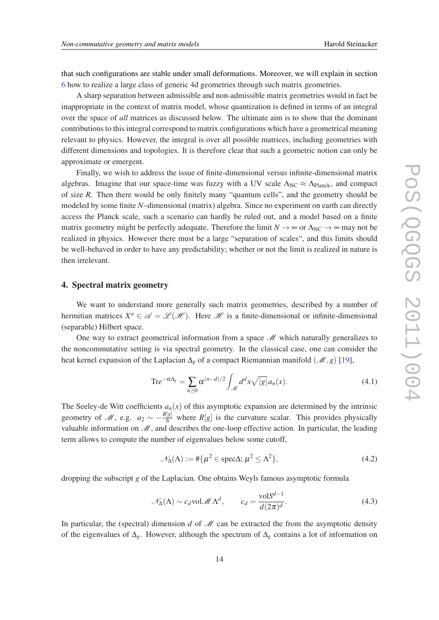<span id="page-13-0"></span>that such configurations are stable under small deformations. Moreover, we will explain in section [6](#page-16-0) how to realize a large class of generic 4d geometries through such matrix geometries.

A sharp separation between admissible and non-admissible matrix geometries would in fact be inappropriate in the context of matrix model, whose quantization is defined in terms of an integral over the space of *all* matrices as discussed below. The ultimate aim is to show that the dominant contributions to this integral correspond to matrix configurations which have a geometrical meaning relevant to physics. However, the integral is over all possible matrices, including geometries with different dimensions and topologies. It is therefore clear that such a geometric notion can only be approximate or emergent.

Finally, we wish to address the issue of finite-dimensional versus infinite-dimensional matrix algebras. Imagine that our space-time was fuzzy with a UV scale  $\Lambda_{NC} \approx \Lambda_{Planck}$ , and compact of size *R*. Then there would be only finitely many "quantum cells", and the geometry should be modeled by some finite *N*–dimensional (matrix) algebra. Since no experiment on earth can directly access the Planck scale, such a scenario can hardly be ruled out, and a model based on a finite matrix geometry might be perfectly adequate. Therefore the limit  $N \to \infty$  or  $\Lambda_{NC} \to \infty$  may not be realized in physics. However there must be a large "separation of scales", and this limits should be well-behaved in order to have any predictability; whether or not the limit is realized in nature is then irrelevant.

#### 4. Spectral matrix geometry

We want to understand more generally such matrix geometries, described by a number of hermitian matrices  $X^a \in \mathscr{A} = \mathscr{L}(\mathscr{H})$ . Here  $\mathscr{H}$  is a finite-dimensional or infinite-dimensional (separable) Hilbert space.

One way to extract geometrical information from a space  $\mathcal{M}$  which naturally generalizes to the noncommutative setting is via spectral geometry. In the classical case, one can consider the heat kernel expansion of the Laplacian  $\Delta_g$  of a compact Riemannian manifold ( $\mathcal{M}, g$ ) [\[19](#page-25-0)],

$$
Tr e^{-\alpha \Delta_g} = \sum_{n \ge 0} \alpha^{(n-d)/2} \int_{\mathcal{M}} d^d x \sqrt{|g|} a_n(x).
$$
 (4.1)

The Seeley-de Witt coefficients  $a_n(x)$  of this asymptotic expansion are determined by the intrinsic geometry of M, e.g.  $a_2 \sim -\frac{R[g]}{6}$  where  $R[g]$  is the curvature scalar. This provides physically valuable information on  $\mathcal{M}$ , and describes the one-loop effective action. In particular, the leading term allows to compute the number of eigenvalues below some cutoff,

$$
\mathcal{N}_{\Delta}(\Lambda) := #\{\mu^2 \in \text{spec}\Delta; \mu^2 \le \Lambda^2\},\tag{4.2}
$$

dropping the subscript *g* of the Laplacian. One obtains Weyls famous asymptotic formula

$$
\mathcal{N}_{\Delta}(\Lambda) \sim c_d \text{vol}\mathcal{M}\Lambda^d
$$
,  $c_d = \frac{\text{vol}S^{d-1}}{d(2\pi)^d}$ . (4.3)

In particular, the (spectral) dimension  $d$  of  $\mathcal M$  can be extracted the from the asymptotic density of the eigenvalues of ∆*g*. However, although the spectrum of ∆*<sup>g</sup>* contains a lot of information on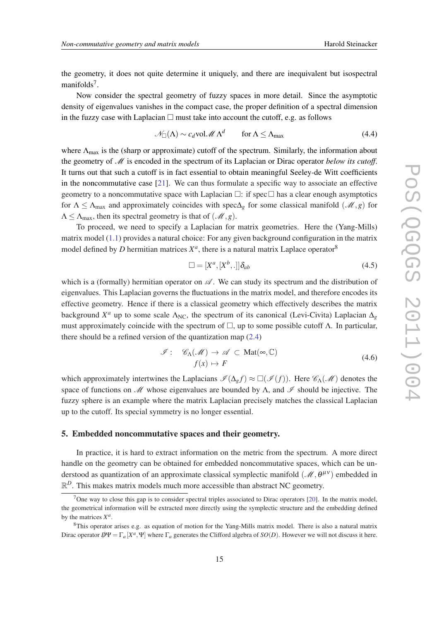the geometry, it does not quite determine it uniquely, and there are inequivalent but isospectral manifolds<sup>7</sup>.

Now consider the spectral geometry of fuzzy spaces in more detail. Since the asymptotic density of eigenvalues vanishes in the compact case, the proper definition of a spectral dimension in the fuzzy case with Laplacian  $\Box$  must take into account the cutoff, e.g. as follows

$$
\mathcal{N}_{\square}(\Lambda) \sim c_d \text{vol.} \mathcal{M} \Lambda^d \qquad \text{for } \Lambda \le \Lambda_{\text{max}} \tag{4.4}
$$

where  $\Lambda_{\text{max}}$  is the (sharp or approximate) cutoff of the spectrum. Similarly, the information about the geometry of M is encoded in the spectrum of its Laplacian or Dirac operator *below its cutoff*. It turns out that such a cutoff is in fact essential to obtain meaningful Seeley-de Witt coefficients in the noncommutative case [[21\]](#page-25-0). We can thus formulate a specific way to associate an effective geometry to a noncommutative space with Laplacian  $\Box$ : if spec  $\Box$  has a clear enough asymptotics for  $\Lambda \leq \Lambda_{\text{max}}$  and approximately coincides with spec $\Delta_{g}$  for some classical manifold ( $\mathcal{M}, g$ ) for  $\Lambda \leq \Lambda_{\text{max}}$ , then its spectral geometry is that of  $(\mathcal{M}, g)$ .

To proceed, we need to specify a Laplacian for matrix geometries. Here the (Yang-Mills) matrix model [\(1.1](#page-2-0)) provides a natural choice: For any given background configuration in the matrix model defined by *D* hermitian matrices  $X^a$ , there is a natural matrix Laplace operator<sup>8</sup>

$$
\Box = [X^a, [X^b, .]]\delta_{ab} \tag{4.5}
$$

which is a (formally) hermitian operator on  $\mathscr A$ . We can study its spectrum and the distribution of eigenvalues. This Laplacian governs the fluctuations in the matrix model, and therefore encodes its effective geometry. Hence if there is a classical geometry which effectively describes the matrix background  $X^a$  up to some scale  $\Lambda_{NC}$ , the spectrum of its canonical (Levi-Civita) Laplacian  $\Delta_g$ must approximately coincide with the spectrum of  $\Box$ , up to some possible cutoff Λ. In particular, there should be a refined version of the quantization map ([2.4](#page-3-0))

$$
\mathcal{I}: \mathcal{C}_{\Lambda}(\mathcal{M}) \to \mathcal{A} \subset \text{Mat}(\infty, \mathbb{C})
$$
  

$$
f(x) \mapsto F
$$
 (4.6)

which approximately intertwines the Laplacians  $\mathcal{I}(\Delta_g f) \approx \Box(\mathcal{I}(f))$ . Here  $\mathcal{C}_{\Lambda}(\mathcal{M})$  denotes the space of functions on M whose eigenvalues are bounded by  $\Lambda$ , and  $\mathscr I$  should be injective. The fuzzy sphere is an example where the matrix Laplacian precisely matches the classical Laplacian up to the cutoff. Its special symmetry is no longer essential.

#### 5. Embedded noncommutative spaces and their geometry.

In practice, it is hard to extract information on the metric from the spectrum. A more direct handle on the geometry can be obtained for embedded noncommutative spaces, which can be understood as quantization of an approximate classical symplectic manifold  $(M, \theta^{\mu\nu})$  embedded in  $\mathbb{R}^D$ . This makes matrix models much more accessible than abstract NC geometry.

<sup>&</sup>lt;sup>7</sup>One way to close this gap is to consider spectral triples associated to Dirac operators [[20\]](#page-25-0). In the matrix model, the geometrical information will be extracted more directly using the symplectic structure and the embedding defined by the matrices  $X^a$ .

<sup>8</sup>This operator arises e.g. as equation of motion for the Yang-Mills matrix model. There is also a natural matrix Dirac operator  $D/\Psi = \Gamma_a[X^a, \Psi]$  where  $\Gamma_a$  generates the Clifford algebra of  $SO(D)$ . However we will not discuss it here.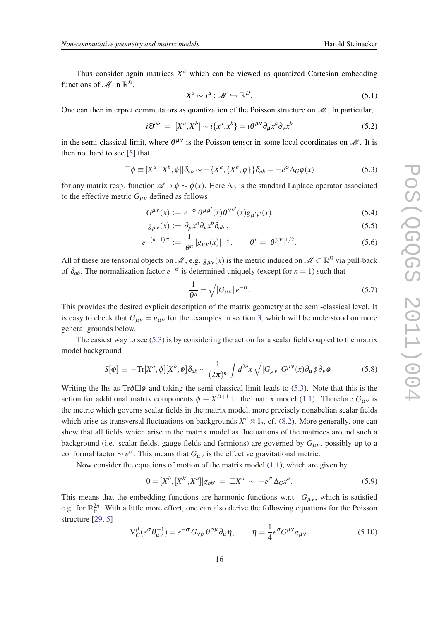Thus consider again matrices  $X^a$  which can be viewed as quantized Cartesian embedding functions of  $\mathscr{M}$  in  $\mathbb{R}^D$ ,

$$
X^a \sim x^a : \mathcal{M} \hookrightarrow \mathbb{R}^D. \tag{5.1}
$$

One can then interpret commutators as quantization of the Poisson structure on  $\mathcal{M}$ . In particular,

$$
i\Theta^{ab} = [X^a, X^b] \sim i\{x^a, x^b\} = i\Theta^{\mu\nu}\partial_\mu x^a \partial_\nu x^b \tag{5.2}
$$

in the semi-classical limit, where  $\theta^{\mu\nu}$  is the Poisson tensor in some local coordinates on  $\mathcal{M}$ . It is then not hard to see [\[5\]](#page-24-0) that

$$
\Box \phi \equiv [X^a, [X^b, \phi]] \delta_{ab} \sim -\{X^a, \{X^b, \phi\}\} \delta_{ab} = -e^{\sigma} \Delta_G \phi(x)
$$
\n(5.3)

for any matrix resp. function  $\mathscr{A} \ni \phi \sim \phi(x)$ . Here  $\Delta_G$  is the standard Laplace operator associated to the effective metric  $G_{\mu\nu}$  defined as follows

$$
G^{\mu\nu}(x) := e^{-\sigma} \theta^{\mu\mu'}(x) \theta^{\nu\nu'}(x) g_{\mu'\nu'}(x)
$$
\n(5.4)

$$
g_{\mu\nu}(x) := \partial_{\mu}x^{a}\partial_{\nu}x^{b}\delta_{ab} , \qquad (5.5)
$$

$$
e^{-(n-1)\sigma} := \frac{1}{\theta^n} |g_{\mu\nu}(x)|^{-\frac{1}{2}}, \qquad \theta^n = |\theta^{\mu\nu}|^{1/2}.
$$
 (5.6)

All of these are tensorial objects on  $\mathcal{M}$ , e.g.  $g_{\mu\nu}(x)$  is the metric induced on  $\mathcal{M} \subset \mathbb{R}^D$  via pull-back of  $\delta_{ab}$ . The normalization factor  $e^{-\sigma}$  is determined uniquely (except for  $n = 1$ ) such that

$$
\frac{1}{\theta^n} = \sqrt{|G_{\mu\nu}|} e^{-\sigma}.
$$
\n(5.7)

This provides the desired explicit description of the matrix geometry at the semi-classical level. It is easy to check that  $G_{\mu\nu} = g_{\mu\nu}$  for the examples in section [3,](#page-4-0) which will be understood on more general grounds below.

The easiest way to see (5.3) is by considering the action for a scalar field coupled to the matrix model background

$$
S[\varphi] \equiv -\text{Tr}[X^a, \phi][X^b, \phi]\delta_{ab} \sim \frac{1}{(2\pi)^n} \int d^{2n}x \sqrt{|G_{\mu\nu}|} G^{\mu\nu}(x) \partial_\mu \phi \partial_\nu \phi. \tag{5.8}
$$

Writing the lhs as Tr $\phi \Box \phi$  and taking the semi-classical limit leads to (5.3). Note that this is the action for additional matrix components  $\phi \equiv X^{D+1}$  in the matrix model ([1.1\)](#page-2-0). Therefore  $G_{\mu\nu}$  is the metric which governs scalar fields in the matrix model, more precisely nonabelian scalar fields which arise as transversal fluctuations on backgrounds  $X^a \otimes 1_n$ , cf. [\(8.2\)](#page-18-0). More generally, one can show that all fields which arise in the matrix model as fluctuations of the matrices around such a background (i.e. scalar fields, gauge fields and fermions) are governed by  $G_{\mu\nu}$ , possibly up to a conformal factor  $\sim e^{\sigma}$ . This means that  $G_{\mu\nu}$  is the effective gravitational metric.

Now consider the equations of motion of the matrix model ([1.1](#page-2-0)), which are given by

$$
0 = [X^{b}, [X^{b'}, X^{a}]]g_{bb'} = \Box X^{a} \sim -e^{\sigma} \Delta_{G} x^{a}.
$$
 (5.9)

This means that the embedding functions are harmonic functions w.r.t.  $G_{\mu\nu}$ , which is satisfied e.g. for  $\mathbb{R}_{\theta}^{2n}$ . With a little more effort, one can also derive the following equations for the Poisson structure [[29,](#page-25-0) [5\]](#page-24-0)

$$
\nabla_G^{\mu} (e^{\sigma} \theta_{\mu\nu}^{-1}) = e^{-\sigma} G_{\nu\rho} \theta^{\rho\mu} \partial_{\mu} \eta, \qquad \eta = \frac{1}{4} e^{\sigma} G^{\mu\nu} g_{\mu\nu}.
$$
 (5.10)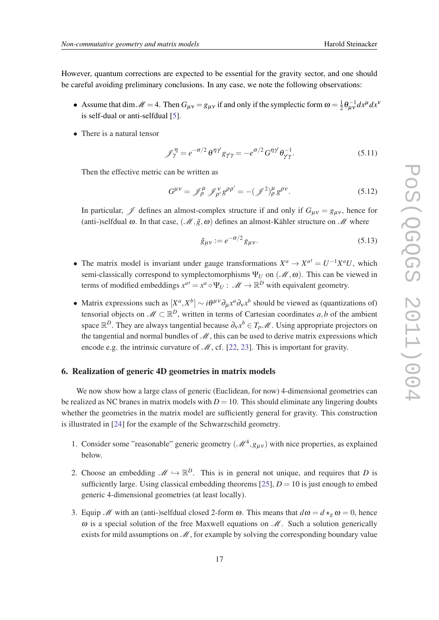<span id="page-16-0"></span>However, quantum corrections are expected to be essential for the gravity sector, and one should be careful avoiding preliminary conclusions. In any case, we note the following observations:

- Assume that dim  $\mathcal{M} = 4$ . Then  $G_{\mu\nu} = g_{\mu\nu}$  if and only if the symplectic form  $\omega = \frac{1}{2}$  $\frac{1}{2}\theta_{\mu\nu}^{-1}dx^{\mu}dx^{\nu}$ is self-dual or anti-selfdual [\[5\]](#page-24-0).
- There is a natural tensor

$$
\mathcal{J}_{\gamma}^{\eta} = e^{-\sigma/2} \theta^{\eta \gamma} g_{\gamma \gamma} = -e^{\sigma/2} G^{\eta \gamma} \theta_{\gamma \gamma}^{-1}.
$$
 (5.11)

Then the effective metric can be written as

$$
G^{\mu\nu} = \mathscr{J}^{\mu}_{\rho} \mathscr{J}^{\nu}_{\rho'} g^{\rho\rho'} = -(\mathscr{J}^2)_{\rho}^{\mu} g^{\rho\nu}.
$$
 (5.12)

In particular,  $\mathscr J$  defines an almost-complex structure if and only if  $G_{\mu\nu} = g_{\mu\nu}$ , hence for (anti-)selfdual  $\omega$ . In that case,  $(\mathcal{M}, \tilde{g}, \omega)$  defines an almost-Kähler structure on  $\mathcal{M}$  where

$$
\tilde{g}_{\mu\nu} := e^{-\sigma/2} g_{\mu\nu}.
$$
\n(5.13)

- The matrix model is invariant under gauge transformations  $X^a \to X^{a'} = U^{-1}X^aU$ , which semi-classically correspond to symplectomorphisms  $\Psi_U$  on  $(\mathcal{M}, \omega)$ . This can be viewed in terms of modified embeddings  $x^{a'} = x^a \circ \Psi_U : \mathcal{M} \to \mathbb{R}^D$  with equivalent geometry.
- Matrix expressions such as  $[X^a, X^b] \sim i\theta^{\mu\nu}\partial_\mu x^a \partial_\nu x^b$  should be viewed as (quantizations of) tensorial objects on  $\mathcal{M} \subset \mathbb{R}^D$ , written in terms of Cartesian coordinates  $a, b$  of the ambient space  $\mathbb{R}^D$ . They are always tangential because  $\partial_y x^b \in T_p\mathcal{M}$ . Using appropriate projectors on the tangential and normal bundles of  $\mathcal{M}$ , this can be used to derive matrix expressions which encode e.g. the intrinsic curvature of  $\mathcal{M}$ , cf. [\[22](#page-25-0), [23\]](#page-25-0). This is important for gravity.

#### 6. Realization of generic 4D geometries in matrix models

We now show how a large class of generic (Euclidean, for now) 4-dimensional geometries can be realized as NC branes in matrix models with  $D = 10$ . This should eliminate any lingering doubts whether the geometries in the matrix model are sufficiently general for gravity. This construction is illustrated in [[24](#page-25-0)] for the example of the Schwarzschild geometry.

- 1. Consider some "reasonable" generic geometry  $(M^4, g_{\mu\nu})$  with nice properties, as explained below.
- 2. Choose an embedding  $\mathscr{M} \hookrightarrow \mathbb{R}^D$ . This is in general not unique, and requires that *D* is sufficiently large. Using classical embedding theorems [[25\]](#page-25-0),  $D = 10$  is just enough to embed generic 4-dimensional geometries (at least locally).
- 3. Equip *M* with an (anti-)selfdual closed 2-form  $\omega$ . This means that  $d\omega = d \star_{\varrho} \omega = 0$ , hence  $\omega$  is a special solution of the free Maxwell equations on  $\mathcal{M}$ . Such a solution generically exists for mild assumptions on  $\mathcal{M}$ , for example by solving the corresponding boundary value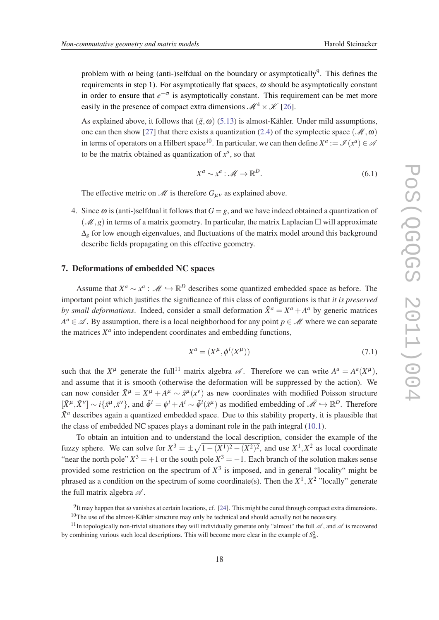<span id="page-17-0"></span>problem with  $\omega$  being (anti-)selfdual on the boundary or asymptotically<sup>9</sup>. This defines the requirements in step 1). For asymptotically flat spaces,  $\omega$  should be asymptotically constant in order to ensure that  $e^{-\sigma}$  is asymptotically constant. This requirement can be met more easily in the presence of compact extra dimensions  $\mathcal{M}^4 \times \mathcal{K}$  [\[26](#page-25-0)].

As explained above, it follows that  $(\tilde{g}, \omega)$  [\(5.13](#page-16-0)) is almost-Kähler. Under mild assumptions, one can then show [\[27](#page-25-0)] that there exists a quantization ([2.4\)](#page-3-0) of the symplectic space ( $\mathcal{M}, \omega$ ) in terms of operators on a Hilbert space<sup>10</sup>. In particular, we can then define  $X^a := \mathscr{I}(x^a) \in \mathscr{A}$ to be the matrix obtained as quantization of  $x^a$ , so that

$$
X^a \sim x^a : \mathcal{M} \to \mathbb{R}^D. \tag{6.1}
$$

The effective metric on  $\mathcal{M}$  is therefore  $G_{\mu\nu}$  as explained above.

4. Since  $\omega$  is (anti-)selfdual it follows that  $G = g$ , and we have indeed obtained a quantization of  $(\mathcal{M}, g)$  in terms of a matrix geometry. In particular, the matrix Laplacian  $\Box$  will approximate ∆*<sup>g</sup>* for low enough eigenvalues, and fluctuations of the matrix model around this background describe fields propagating on this effective geometry.

#### 7. Deformations of embedded NC spaces

Assume that  $X^a \sim x^a$ :  $\mathcal{M} \hookrightarrow \mathbb{R}^D$  describes some quantized embedded space as before. The important point which justifies the significance of this class of configurations is that *it is preserved by small deformations.* Indeed, consider a small deformation  $\tilde{X}^a = X^a + A^a$  by generic matrices  $A^a \in \mathcal{A}$ . By assumption, there is a local neighborhood for any point  $p \in \mathcal{M}$  where we can separate the matrices  $X^a$  into independent coordinates and embedding functions,

$$
X^a = (X^\mu, \phi^i(X^\mu))
$$
\n<sup>(7.1)</sup>

such that the  $X^{\mu}$  generate the full<sup>11</sup> matrix algebra  $\mathscr{A}$ . Therefore we can write  $A^a = A^a(X^{\mu})$ , and assume that it is smooth (otherwise the deformation will be suppressed by the action). We can now consider  $\tilde{X}^{\mu} = X^{\mu} + A^{\mu} \sim \tilde{x}^{\mu}(x^{\nu})$  as new coordinates with modified Poisson structure  $[\tilde{X}^{\mu}, \tilde{X}^{\nu}] \sim i\{\tilde{x}^{\mu}, \tilde{x}^{\nu}\},$  and  $\tilde{\phi}^{i} = \phi^{i} + A^{i} \sim \tilde{\phi}^{i}(\tilde{x}^{\mu})$  as modified embedding of  $\tilde{\mathcal{M}} \hookrightarrow \mathbb{R}^{D}$ . Therefore  $\tilde{X}^a$  describes again a quantized embedded space. Due to this stability property, it is plausible that the class of embedded NC spaces plays a dominant role in the path integral [\(10.1](#page-19-0)).

To obtain an intuition and to understand the local description, consider the example of the fuzzy sphere. We can solve for  $X^3 = \pm \sqrt{1 - (X^1)^2 - (X^2)^2}$ , and use  $X^1, X^2$  as local coordinate "near the north pole"  $X^3 = +1$  or the south pole  $X^3 = -1$ . Each branch of the solution makes sense provided some restriction on the spectrum of  $X<sup>3</sup>$  is imposed, and in general "locality" might be phrased as a condition on the spectrum of some coordinate(s). Then the  $X^1$ ,  $X^2$  "locally" generate the full matrix algebra  $\mathscr A$ .

<sup>&</sup>lt;sup>9</sup>It may happen that ω vanishes at certain locations, cf. [\[24](#page-25-0)]. This might be cured through compact extra dimensions.

 $10$ The use of the almost-Kähler structure may only be technical and should actually not be necessary.

<sup>&</sup>lt;sup>11</sup>In topologically non-trivial situations they will individually generate only "almost" the full  $\mathscr A$ , and  $\mathscr A$  is recovered by combining various such local descriptions. This will become more clear in the example of  $S_N^2$ .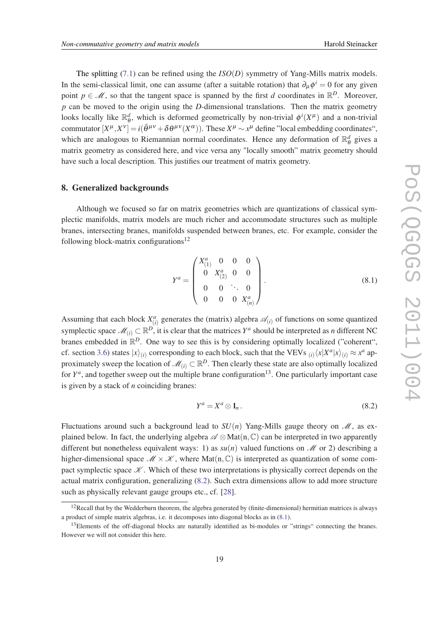<span id="page-18-0"></span>The splitting ([7.1](#page-17-0)) can be refined using the *ISO*(*D*) symmetry of Yang-Mills matrix models. In the semi-classical limit, one can assume (after a suitable rotation) that  $\partial_{\mu} \phi^{i} = 0$  for any given point  $p \in \mathcal{M}$ , so that the tangent space is spanned by the first *d* coordinates in  $\mathbb{R}^D$ . Moreover, *p* can be moved to the origin using the *D*-dimensional translations. Then the matrix geometry looks locally like R *d*  $\phi^d$ , which is deformed geometrically by non-trivial  $\phi^i(X^{\mu})$  and a non-trivial commutator  $[X^{\mu}, X^{\nu}] = i(\bar{\theta}^{\mu\nu} + \delta \theta^{\mu\nu}(X^{\alpha}))$ . These  $X^{\mu} \sim x^{\mu}$  define "local embedding coordinates", which are analogous to Riemannian normal coordinates. Hence any deformation of  $\mathbb{R}^d$  $\frac{d}{\theta}$  gives a matrix geometry as considered here, and vice versa any "locally smooth" matrix geometry should have such a local description. This justifies our treatment of matrix geometry.

#### 8. Generalized backgrounds

Although we focused so far on matrix geometries which are quantizations of classical symplectic manifolds, matrix models are much richer and accommodate structures such as multiple branes, intersecting branes, manifolds suspended between branes, etc. For example, consider the following block-matrix configurations<sup>12</sup>

$$
Y^{a} = \begin{pmatrix} X_{(1)}^{a} & 0 & 0 & 0 \\ 0 & X_{(2)}^{a} & 0 & 0 \\ 0 & 0 & \ddots & 0 \\ 0 & 0 & 0 & X_{(n)}^{a} \end{pmatrix}.
$$
 (8.1)

Assuming that each block  $X_{(i)}^a$  generates the (matrix) algebra  $\mathcal{A}_{(i)}$  of functions on some quantized symplectic space  $\mathscr{M}_{(i)} \subset \mathbb{R}^D$ , it is clear that the matrices  $Y^a$  should be interpreted as *n* different NC branes embedded in  $\mathbb{R}^D$ . One way to see this is by considering optimally localized ("coherent", cf. section [3.6](#page-10-0)) states  $|x\rangle_{(i)}$  corresponding to each block, such that the VEVs  $_{(i)}\langle x|X^a|x\rangle_{(i)} \approx x^a$  approximately sweep the location of  $\mathcal{M}_{(i)} \subset \mathbb{R}^D$ . Then clearly these state are also optimally localized for  $Y^a$ , and together sweep out the multiple brane configuration<sup>13</sup>. One particularly important case is given by a stack of *n* coinciding branes:

$$
Y^a = X^a \otimes 1_n. \tag{8.2}
$$

Fluctuations around such a background lead to  $SU(n)$  Yang-Mills gauge theory on  $\mathcal{M}$ , as explained below. In fact, the underlying algebra  $\mathscr{A} \otimes Mat(n, \mathbb{C})$  can be interpreted in two apparently different but nonetheless equivalent ways: 1) as  $su(n)$  valued functions on  $\mathcal M$  or 2) describing a higher-dimensional space  $\mathcal{M} \times \mathcal{K}$ , where Mat $(n, \mathbb{C})$  is interpreted as quantization of some compact symplectic space  $\mathcal K$ . Which of these two interpretations is physically correct depends on the actual matrix configuration, generalizing (8.2). Such extra dimensions allow to add more structure such as physically relevant gauge groups etc., cf. [[28\]](#page-25-0).

 $12$ Recall that by the Wedderburn theorem, the algebra generated by (finite-dimensional) hermitian matrices is always a product of simple matrix algebras, i.e. it decomposes into diagonal blocks as in (8.1).

<sup>&</sup>lt;sup>13</sup>Elements of the off-diagonal blocks are naturally identified as bi-modules or "strings" connecting the branes. However we will not consider this here.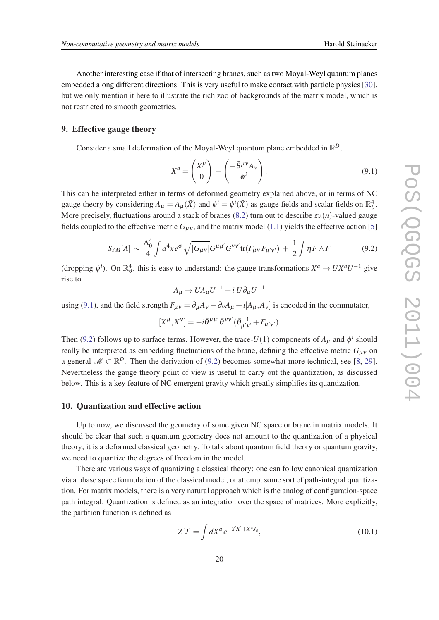<span id="page-19-0"></span>Another interesting case if that of intersecting branes, such as two Moyal-Weyl quantum planes embedded along different directions. This is very useful to make contact with particle physics [[30\]](#page-25-0), but we only mention it here to illustrate the rich zoo of backgrounds of the matrix model, which is not restricted to smooth geometries.

#### 9. Effective gauge theory

Consider a small deformation of the Moyal-Weyl quantum plane embedded in  $\mathbb{R}^D$ ,

$$
X^{a} = \begin{pmatrix} \bar{X}^{\mu} \\ 0 \end{pmatrix} + \begin{pmatrix} -\bar{\theta}^{\mu\nu} A_{\nu} \\ \phi^{i} \end{pmatrix}.
$$
 (9.1)

This can be interpreted either in terms of deformed geometry explained above, or in terms of NC gauge theory by considering  $A_{\mu} = A_{\mu}(\bar{X})$  and  $\phi^{i} = \phi^{i}(\bar{X})$  as gauge fields and scalar fields on  $\mathbb{R}_{\theta}^{4}$ . More precisely, fluctuations around a stack of branes  $(8.2)$  $(8.2)$  turn out to describe  $\mathfrak{su}(n)$ -valued gauge fields coupled to the effective metric  $G_{\mu\nu}$ , and the matrix model ([1.1\)](#page-2-0) yields the effective action [[5](#page-24-0)]

$$
S_{YM}[A] \sim \frac{\Lambda_0^4}{4} \int d^4x \, e^{\sigma} \sqrt{|G_{\mu\nu}|} G^{\mu\mu'} G^{\nu\nu'} \text{tr}(F_{\mu\nu} F_{\mu'\nu'}) + \frac{1}{2} \int \eta F \wedge F \tag{9.2}
$$

(dropping  $\phi^i$ ). On  $\mathbb{R}^4_\theta$ , this is easy to understand: the gauge transformations  $X^a \to U X^a U^{-1}$  give rise to

$$
A_{\mu} \to U A_{\mu} U^{-1} + i U \partial_{\mu} U^{-1}
$$

using (9.1), and the field strength  $F_{\mu\nu} = \partial_{\mu}A_{\nu} - \partial_{\nu}A_{\mu} + i[A_{\mu}, A_{\nu}]$  is encoded in the commutator,

$$
[X^\mu,X^\nu]=-i\bar\theta^{\mu\mu'}\bar\theta^{\,\nu\nu'}(\bar\theta^{-1}_{\mu'\nu'}+F_{\mu'\nu'}).
$$

Then (9.2) follows up to surface terms. However, the trace- $U(1)$  components of  $A_{\mu}$  and  $\phi^{i}$  should really be interpreted as embedding fluctuations of the brane, defining the effective metric  $G_{\mu\nu}$  on a general  $\mathcal{M} \subset \mathbb{R}^D$ . Then the derivation of (9.2) becomes somewhat more technical, see [\[8,](#page-24-0) [29\]](#page-25-0). Nevertheless the gauge theory point of view is useful to carry out the quantization, as discussed below. This is a key feature of NC emergent gravity which greatly simplifies its quantization.

#### 10. Quantization and effective action

Up to now, we discussed the geometry of some given NC space or brane in matrix models. It should be clear that such a quantum geometry does not amount to the quantization of a physical theory; it is a deformed classical geometry. To talk about quantum field theory or quantum gravity, we need to quantize the degrees of freedom in the model.

There are various ways of quantizing a classical theory: one can follow canonical quantization via a phase space formulation of the classical model, or attempt some sort of path-integral quantization. For matrix models, there is a very natural approach which is the analog of configuration-space path integral: Quantization is defined as an integration over the space of matrices. More explicitly, the partition function is defined as

$$
Z[J] = \int dX^a \, e^{-S[X] + X^a J_a},\tag{10.1}
$$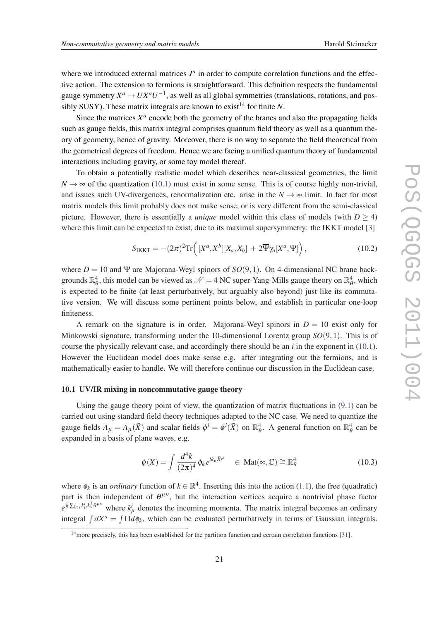<span id="page-20-0"></span>where we introduced external matrices  $J<sup>a</sup>$  in order to compute correlation functions and the effective action. The extension to fermions is straightforward. This definition respects the fundamental gauge symmetry  $X^a \to UX^aU^{-1}$ , as well as all global symmetries (translations, rotations, and possibly SUSY). These matrix integrals are known to exist<sup>14</sup> for finite  $N$ .

Since the matrices  $X^a$  encode both the geometry of the branes and also the propagating fields such as gauge fields, this matrix integral comprises quantum field theory as well as a quantum theory of geometry, hence of gravity. Moreover, there is no way to separate the field theoretical from the geometrical degrees of freedom. Hence we are facing a unified quantum theory of fundamental interactions including gravity, or some toy model thereof.

To obtain a potentially realistic model which describes near-classical geometries, the limit  $N \rightarrow \infty$  of the quantization [\(10.1](#page-19-0)) must exist in some sense. This is of course highly non-trivial, and issues such UV-divergences, renormalization etc. arise in the  $N \to \infty$  limit. In fact for most matrix models this limit probably does not make sense, or is very different from the semi-classical picture. However, there is essentially a *unique* model within this class of models (with  $D > 4$ ) where this limit can be expected to exist, due to its maximal supersymmetry: the IKKT model [[3](#page-24-0)]

$$
S_{\text{IKKT}} = -(2\pi)^2 \text{Tr}\left( [X^a, X^b][X_a, X_b] + 2\overline{\Psi}\gamma_a[X^a, \Psi] \right),\tag{10.2}
$$

where  $D = 10$  and  $\Psi$  are Majorana-Weyl spinors of  $SO(9,1)$ . On 4-dimensional NC brane backgrounds  $\mathbb{R}^4_\theta$ , this model can be viewed as  $\mathcal{N}=4$  NC super-Yang-Mills gauge theory on  $\mathbb{R}^4_\theta$ , which is expected to be finite (at least perturbatively, but arguably also beyond) just like its commutative version. We will discuss some pertinent points below, and establish in particular one-loop finiteness.

A remark on the signature is in order. Majorana-Weyl spinors in  $D = 10$  exist only for Minkowski signature, transforming under the 10-dimensional Lorentz group *SO*(9,1). This is of course the physically relevant case, and accordingly there should be an *i* in the exponent in [\(10.1\)](#page-19-0). However the Euclidean model does make sense e.g. after integrating out the fermions, and is mathematically easier to handle. We will therefore continue our discussion in the Euclidean case.

#### 10.1 UV/IR mixing in noncommutative gauge theory

Using the gauge theory point of view, the quantization of matrix fluctuations in  $(9.1)$  $(9.1)$  $(9.1)$  can be carried out using standard field theory techniques adapted to the NC case. We need to quantize the gauge fields  $A_\mu = A_\mu(\bar{X})$  and scalar fields  $\phi^i = \phi^i(\bar{X})$  on  $\mathbb{R}^4_\theta$ . A general function on  $\mathbb{R}^4_\theta$  can be expanded in a basis of plane waves, e.g.

$$
\phi(X) = \int \frac{d^4k}{(2\pi)^4} \phi_k e^{ik_\mu \bar{X}^\mu} \quad \in \text{Mat}(\infty, \mathbb{C}) \cong \mathbb{R}^4_\theta \tag{10.3}
$$

where  $\phi_k$  is an *ordinary* function of  $k \in \mathbb{R}^4$ . Inserting this into the action [\(1.1](#page-2-0)), the free (quadratic) part is then independent of  $\theta^{\mu\nu}$ , but the interaction vertices acquire a nontrivial phase factor  $e^{\frac{i}{2}\sum_{i\leq j}k_{\mu}^{i}k_{\nu}^{j}\theta^{\mu\nu}}$  where  $k_{\mu}^{i}$  denotes the incoming momenta. The matrix integral becomes an ordinary integral  $\int dX^a = \int \Pi d\phi_k$ , which can be evaluated perturbatively in terms of Gaussian integrals.

<sup>14</sup>more precisely, this has been established for the partition function and certain correlation functions [\[31](#page-25-0)].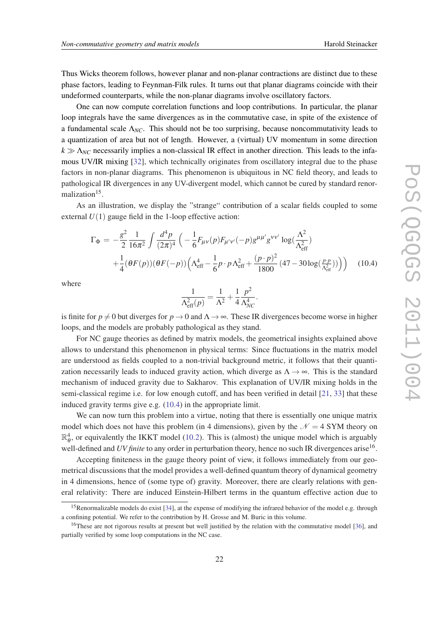Thus Wicks theorem follows, however planar and non-planar contractions are distinct due to these phase factors, leading to Feynman-Filk rules. It turns out that planar diagrams coincide with their undeformed counterparts, while the non-planar diagrams involve oscillatory factors.

One can now compute correlation functions and loop contributions. In particular, the planar loop integrals have the same divergences as in the commutative case, in spite of the existence of a fundamental scale  $\Lambda_{NC}$ . This should not be too surprising, because noncommutativity leads to a quantization of area but not of length. However, a (virtual) UV momentum in some direction  $k \gg \Lambda_{NC}$  necessarily implies a non-classical IR effect in another direction. This leads to the infamous UV/IR mixing [\[32](#page-25-0)], which technically originates from oscillatory integral due to the phase factors in non-planar diagrams. This phenomenon is ubiquitous in NC field theory, and leads to pathological IR divergences in any UV-divergent model, which cannot be cured by standard renormalization<sup>15</sup>.

As an illustration, we display the "strange" contribution of a scalar fields coupled to some external  $U(1)$  gauge field in the 1-loop effective action:

$$
\Gamma_{\Phi} = -\frac{g^2}{2} \frac{1}{16\pi^2} \int \frac{d^4 p}{(2\pi)^4} \left( -\frac{1}{6} F_{\mu\nu}(p) F_{\mu'\nu'}(-p) g^{\mu\mu'} g^{\nu\nu'} \log(\frac{\Lambda^2}{\Lambda_{\rm eff}^2}) + \frac{1}{4} (\theta F(p)) (\theta F(-p)) \left( \Lambda_{\rm eff}^4 - \frac{1}{6} p \cdot p \Lambda_{\rm eff}^2 + \frac{(p \cdot p)^2}{1800} (47 - 30 \log(\frac{p \cdot p}{\Lambda_{\rm eff}^2})) \right) \right) \tag{10.4}
$$

where

$$
\frac{1}{\Lambda_{\text{eff}}^2(p)} = \frac{1}{\Lambda^2} + \frac{1}{4} \frac{p^2}{\Lambda_{NC}^4}.
$$

is finite for  $p \neq 0$  but diverges for  $p \rightarrow 0$  and  $\Lambda \rightarrow \infty$ . These IR divergences become worse in higher loops, and the models are probably pathological as they stand.

For NC gauge theories as defined by matrix models, the geometrical insights explained above allows to understand this phenomenon in physical terms: Since fluctuations in the matrix model are understood as fields coupled to a non-trivial background metric, it follows that their quantization necessarily leads to induced gravity action, which diverge as  $\Lambda \rightarrow \infty$ . This is the standard mechanism of induced gravity due to Sakharov. This explanation of UV/IR mixing holds in the semi-classical regime i.e. for low enough cutoff, and has been verified in detail [\[21](#page-25-0), [33\]](#page-25-0) that these induced gravity terms give e.g. (10.4) in the appropriate limit.

We can now turn this problem into a virtue, noting that there is essentially one unique matrix model which does not have this problem (in 4 dimensions), given by the  $\mathcal{N} = 4$  SYM theory on  $\mathbb{R}^4_{\theta}$ , or equivalently the IKKT model [\(10.2](#page-20-0)). This is (almost) the unique model which is arguably well-defined and *UV finite* to any order in perturbation theory, hence no such IR divergences arise<sup>16</sup>.

Accepting finiteness in the gauge theory point of view, it follows immediately from our geometrical discussions that the model provides a well-defined quantum theory of dynamical geometry in 4 dimensions, hence of (some type of) gravity. Moreover, there are clearly relations with general relativity: There are induced Einstein-Hilbert terms in the quantum effective action due to

<sup>&</sup>lt;sup>15</sup>Renormalizable models do exist [\[34](#page-26-0)], at the expense of modifying the infrared behavior of the model e.g. through a confining potential. We refer to the contribution by H. Grosse and M. Buric in this volume.

<sup>&</sup>lt;sup>16</sup>These are not rigorous results at present but well justified by the relation with the commutative model [[36\]](#page-26-0), and partially verified by some loop computations in the NC case.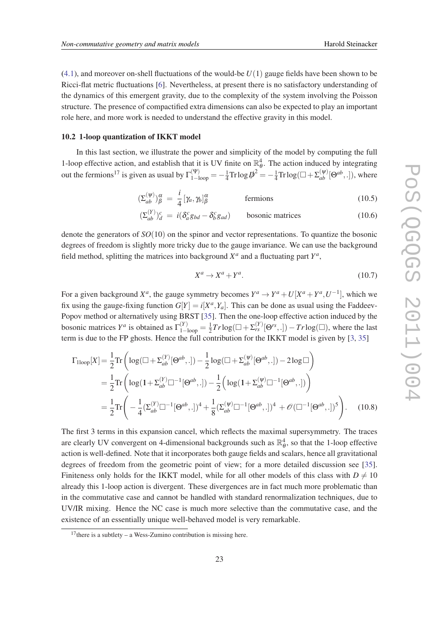([4.1\)](#page-13-0), and moreover on-shell fluctuations of the would-be *U*(1) gauge fields have been shown to be Ricci-flat metric fluctuations [[6](#page-24-0)]. Nevertheless, at present there is no satisfactory understanding of the dynamics of this emergent gravity, due to the complexity of the system involving the Poisson structure. The presence of compactified extra dimensions can also be expected to play an important role here, and more work is needed to understand the effective gravity in this model.

#### 10.2 1-loop quantization of IKKT model

In this last section, we illustrate the power and simplicity of the model by computing the full 1-loop effective action, and establish that it is UV finite on  $\mathbb{R}^4_\theta$ . The action induced by integrating out the fermions<sup>17</sup> is given as usual by  $\Gamma_{1-loop}^{(\Psi)} = -\frac{1}{4}$  $\frac{1}{4}$ Trlog $\psi^2 = -\frac{1}{4}$  $\frac{1}{4} \text{Tr} \log_{10}(\Box + \Sigma_{ab}^{(\psi)}[\Theta^{ab}, .])$ , where

$$
\left(\Sigma_{ab}^{(\psi)}\right)^{\alpha}_{\beta} = \frac{i}{4} \left[\gamma_a, \gamma_b\right]^{\alpha}_{\beta} \qquad \text{fermions} \tag{10.5}
$$

$$
\left(\Sigma_{ab}^{(Y)}\right)_{d}^{c} = i\left(\delta_{a}^{c}g_{bd} - \delta_{b}^{c}g_{ad}\right) \qquad \text{bosonic matrices} \tag{10.6}
$$

denote the generators of *SO*(10) on the spinor and vector representations. To quantize the bosonic degrees of freedom is slightly more tricky due to the gauge invariance. We can use the background field method, splitting the matrices into background  $X^a$  and a fluctuating part  $Y^a$ ,

$$
X^a \to X^a + Y^a. \tag{10.7}
$$

For a given background  $X^a$ , the gauge symmetry becomes  $Y^a \to Y^a + U[X^a + Y^a, U^{-1}]$ , which we fix using the gauge-fixing function  $G[Y] = i[X^a, Y_a]$ . This can be done as usual using the Faddeev-Popov method or alternatively using BRST [\[35](#page-26-0)]. Then the one-loop effective action induced by the bosonic matrices  $Y^a$  is obtained as  $\Gamma_{1-loop}^{(Y)} = \frac{1}{2}$  $\frac{1}{2}Tr \log(\square + \Sigma_{rs}^{(Y)}[\Theta^{rs}, .]) - Tr \log(\square)$ , where the last term is due to the FP ghosts. Hence the full contribution for the IKKT model is given by [\[3,](#page-24-0) [35\]](#page-26-0)

$$
\Gamma_{\text{1loop}}[X] = \frac{1}{2} \text{Tr} \left( \log(\Box + \Sigma_{ab}^{(Y)}[\Theta^{ab},.]) - \frac{1}{2} \log(\Box + \Sigma_{ab}^{(\psi)}[\Theta^{ab},.]) - 2 \log \Box \right)
$$
  
=  $\frac{1}{2} \text{Tr} \left( \log(1 + \Sigma_{ab}^{(Y)} \Box^{-1}[\Theta^{ab},.]) - \frac{1}{2} \left( \log(1 + \Sigma_{ab}^{(\psi)} \Box^{-1}[\Theta^{ab},.]) \right) \right)$   
=  $\frac{1}{2} \text{Tr} \left( -\frac{1}{4} (\Sigma_{ab}^{(Y)} \Box^{-1}[\Theta^{ab},.])^4 + \frac{1}{8} (\Sigma_{ab}^{(\psi)} \Box^{-1}[\Theta^{ab},.])^4 + \mathcal{O}(\Box^{-1}[\Theta^{ab},.])^5 \right).$  (10.8)

The first 3 terms in this expansion cancel, which reflects the maximal supersymmetry. The traces are clearly UV convergent on 4-dimensional backgrounds such as  $\mathbb{R}^4_\theta$ , so that the 1-loop effective action is well-defined. Note that it incorporates both gauge fields and scalars, hence all gravitational degrees of freedom from the geometric point of view; for a more detailed discussion see [[35\]](#page-26-0). Finiteness only holds for the IKKT model, while for all other models of this class with  $D \neq 10$ already this 1-loop action is divergent. These divergences are in fact much more problematic than in the commutative case and cannot be handled with standard renormalization techniques, due to UV/IR mixing. Hence the NC case is much more selective than the commutative case, and the existence of an essentially unique well-behaved model is very remarkable.

<sup>&</sup>lt;sup>17</sup>there is a subtlety – a Wess-Zumino contribution is missing here.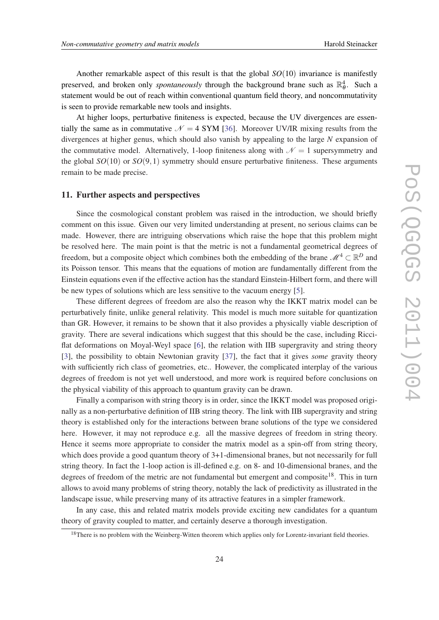Another remarkable aspect of this result is that the global *SO*(10) invariance is manifestly preserved, and broken only *spontaneously* through the background brane such as  $\mathbb{R}^4_\theta$ . Such a statement would be out of reach within conventional quantum field theory, and noncommutativity is seen to provide remarkable new tools and insights.

At higher loops, perturbative finiteness is expected, because the UV divergences are essentially the same as in commutative  $\mathcal{N} = 4$  SYM [[36\]](#page-26-0). Moreover UV/IR mixing results from the divergences at higher genus, which should also vanish by appealing to the large *N* expansion of the commutative model. Alternatively, 1-loop finiteness along with  $\mathcal{N} = 1$  supersymmetry and the global  $SO(10)$  or  $SO(9,1)$  symmetry should ensure perturbative finiteness. These arguments remain to be made precise.

#### 11. Further aspects and perspectives

Since the cosmological constant problem was raised in the introduction, we should briefly comment on this issue. Given our very limited understanding at present, no serious claims can be made. However, there are intriguing observations which raise the hope that this problem might be resolved here. The main point is that the metric is not a fundamental geometrical degrees of freedom, but a composite object which combines both the embedding of the brane  $\mathcal{M}^4 \subset \mathbb{R}^D$  and its Poisson tensor. This means that the equations of motion are fundamentally different from the Einstein equations even if the effective action has the standard Einstein-Hilbert form, and there will be new types of solutions which are less sensitive to the vacuum energy [[5](#page-24-0)].

These different degrees of freedom are also the reason why the IKKT matrix model can be perturbatively finite, unlike general relativity. This model is much more suitable for quantization than GR. However, it remains to be shown that it also provides a physically viable description of gravity. There are several indications which suggest that this should be the case, including Ricciflat deformations on Moyal-Weyl space [[6](#page-24-0)], the relation with IIB supergravity and string theory [[3](#page-24-0)], the possibility to obtain Newtonian gravity [\[37\]](#page-26-0), the fact that it gives *some* gravity theory with sufficiently rich class of geometries, etc.. However, the complicated interplay of the various degrees of freedom is not yet well understood, and more work is required before conclusions on the physical viability of this approach to quantum gravity can be drawn.

Finally a comparison with string theory is in order, since the IKKT model was proposed originally as a non-perturbative definition of IIB string theory. The link with IIB supergravity and string theory is established only for the interactions between brane solutions of the type we considered here. However, it may not reproduce e.g. all the massive degrees of freedom in string theory. Hence it seems more appropriate to consider the matrix model as a spin-off from string theory, which does provide a good quantum theory of 3+1-dimensional branes, but not necessarily for full string theory. In fact the 1-loop action is ill-defined e.g. on 8- and 10-dimensional branes, and the degrees of freedom of the metric are not fundamental but emergent and composite<sup>18</sup>. This in turn allows to avoid many problems of string theory, notably the lack of predictivity as illustrated in the landscape issue, while preserving many of its attractive features in a simpler framework.

In any case, this and related matrix models provide exciting new candidates for a quantum theory of gravity coupled to matter, and certainly deserve a thorough investigation.

<sup>&</sup>lt;sup>18</sup>There is no problem with the Weinberg-Witten theorem which applies only for Lorentz-invariant field theories.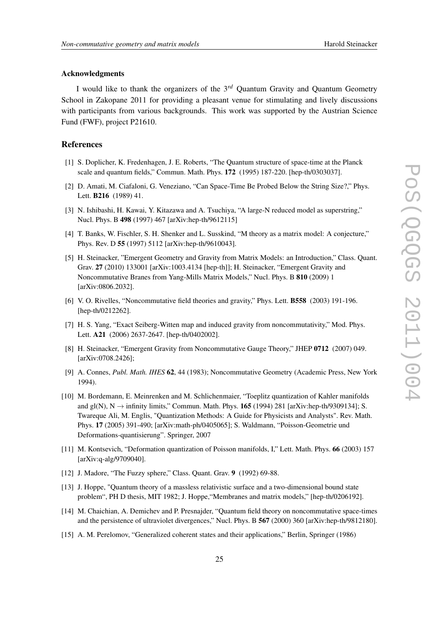#### <span id="page-24-0"></span>Acknowledgments

I would like to thank the organizers of the 3*rd* Quantum Gravity and Quantum Geometry School in Zakopane 2011 for providing a pleasant venue for stimulating and lively discussions with participants from various backgrounds. This work was supported by the Austrian Science Fund (FWF), project P21610.

#### References

- [1] S. Doplicher, K. Fredenhagen, J. E. Roberts, "The Quantum structure of space-time at the Planck scale and quantum fields," Commun. Math. Phys. 172 (1995) 187-220. [hep-th/0303037].
- [2] D. Amati, M. Ciafaloni, G. Veneziano, "Can Space-Time Be Probed Below the String Size?," Phys. Lett. B216 (1989) 41.
- [3] N. Ishibashi, H. Kawai, Y. Kitazawa and A. Tsuchiya, "A large-N reduced model as superstring," Nucl. Phys. B 498 (1997) 467 [arXiv:hep-th/9612115]
- [4] T. Banks, W. Fischler, S. H. Shenker and L. Susskind, "M theory as a matrix model: A conjecture," Phys. Rev. D 55 (1997) 5112 [arXiv:hep-th/9610043].
- [5] H. Steinacker, "Emergent Geometry and Gravity from Matrix Models: an Introduction," Class. Quant. Grav. 27 (2010) 133001 [arXiv:1003.4134 [hep-th]]; H. Steinacker, "Emergent Gravity and Noncommutative Branes from Yang-Mills Matrix Models," Nucl. Phys. B 810 (2009) 1 [arXiv:0806.2032].
- [6] V. O. Rivelles, "Noncommutative field theories and gravity," Phys. Lett. B558 (2003) 191-196. [hep-th/0212262].
- [7] H. S. Yang, "Exact Seiberg-Witten map and induced gravity from noncommutativity," Mod. Phys. Lett. A21 (2006) 2637-2647. [hep-th/0402002].
- [8] H. Steinacker, "Emergent Gravity from Noncommutative Gauge Theory," JHEP 0712 (2007) 049. [arXiv:0708.2426];
- [9] A. Connes, *Publ. Math. IHES* 62, 44 (1983); Noncommutative Geometry (Academic Press, New York 1994).
- [10] M. Bordemann, E. Meinrenken and M. Schlichenmaier, "Toeplitz quantization of Kahler manifolds and  $gl(N)$ ,  $N \rightarrow$  infinity limits," Commun. Math. Phys. 165 (1994) 281 [arXiv:hep-th/9309134]; S. Twareque Ali, M. Englis, "Quantization Methods: A Guide for Physicists and Analysts". Rev. Math. Phys. 17 (2005) 391-490; [arXiv:math-ph/0405065]; S. Waldmann, "Poisson-Geometrie und Deformations-quantisierung". Springer, 2007
- [11] M. Kontsevich, "Deformation quantization of Poisson manifolds, I," Lett. Math. Phys. 66 (2003) 157 [arXiv:q-alg/9709040].
- [12] J. Madore, "The Fuzzy sphere," Class. Quant. Grav. 9 (1992) 69-88.
- [13] J. Hoppe, "Quantum theory of a massless relativistic surface and a two-dimensional bound state problem", PH D thesis, MIT 1982; J. Hoppe,"Membranes and matrix models," [hep-th/0206192].
- [14] M. Chaichian, A. Demichev and P. Presnajder, "Quantum field theory on noncommutative space-times and the persistence of ultraviolet divergences," Nucl. Phys. B 567 (2000) 360 [arXiv:hep-th/9812180].
- [15] A. M. Perelomov, "Generalized coherent states and their applications," Berlin, Springer (1986)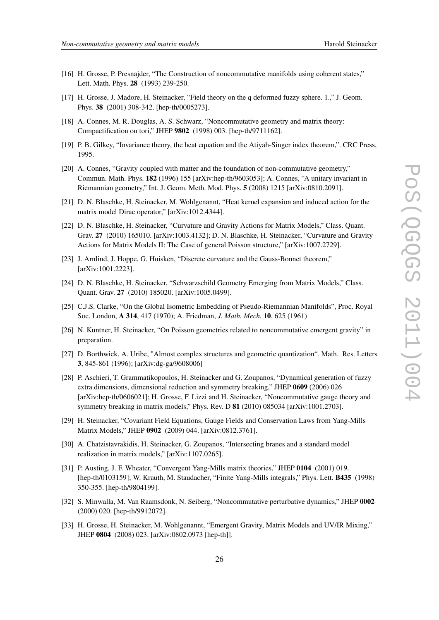- <span id="page-25-0"></span>[16] H. Grosse, P. Presnajder, "The Construction of noncommutative manifolds using coherent states," Lett. Math. Phys. 28 (1993) 239-250.
- [17] H. Grosse, J. Madore, H. Steinacker, "Field theory on the q deformed fuzzy sphere. 1.," J. Geom. Phys. 38 (2001) 308-342. [hep-th/0005273].
- [18] A. Connes, M. R. Douglas, A. S. Schwarz, "Noncommutative geometry and matrix theory: Compactification on tori," JHEP 9802 (1998) 003. [hep-th/9711162].
- [19] P. B. Gilkey, "Invariance theory, the heat equation and the Atiyah-Singer index theorem,". CRC Press, 1995.
- [20] A. Connes, "Gravity coupled with matter and the foundation of non-commutative geometry," Commun. Math. Phys. 182 (1996) 155 [arXiv:hep-th/9603053]; A. Connes, "A unitary invariant in Riemannian geometry," Int. J. Geom. Meth. Mod. Phys. 5 (2008) 1215 [arXiv:0810.2091].
- [21] D. N. Blaschke, H. Steinacker, M. Wohlgenannt, "Heat kernel expansion and induced action for the matrix model Dirac operator," [arXiv:1012.4344].
- [22] D. N. Blaschke, H. Steinacker, "Curvature and Gravity Actions for Matrix Models," Class. Quant. Grav. 27 (2010) 165010. [arXiv:1003.4132]; D. N. Blaschke, H. Steinacker, "Curvature and Gravity Actions for Matrix Models II: The Case of general Poisson structure," [arXiv:1007.2729].
- [23] J. Arnlind, J. Hoppe, G. Huisken, "Discrete curvature and the Gauss-Bonnet theorem," [arXiv:1001.2223].
- [24] D. N. Blaschke, H. Steinacker, "Schwarzschild Geometry Emerging from Matrix Models," Class. Quant. Grav. 27 (2010) 185020. [arXiv:1005.0499].
- [25] C.J.S. Clarke, "On the Global Isometric Embedding of Pseudo-Riemannian Manifolds", Proc. Royal Soc. London, A 314, 417 (1970); A. Friedman, *J. Math. Mech.* 10, 625 (1961)
- [26] N. Kuntner, H. Steinacker, "On Poisson geometries related to noncommutative emergent gravity" in preparation.
- [27] D. Borthwick, A. Uribe, "Almost complex structures and geometric quantization". Math. Res. Letters 3, 845-861 (1996); [arXiv:dg-ga/9608006]
- [28] P. Aschieri, T. Grammatikopoulos, H. Steinacker and G. Zoupanos, "Dynamical generation of fuzzy extra dimensions, dimensional reduction and symmetry breaking," JHEP 0609 (2006) 026 [arXiv:hep-th/0606021]; H. Grosse, F. Lizzi and H. Steinacker, "Noncommutative gauge theory and symmetry breaking in matrix models," Phys. Rev. D 81 (2010) 085034 [arXiv:1001.2703].
- [29] H. Steinacker, "Covariant Field Equations, Gauge Fields and Conservation Laws from Yang-Mills Matrix Models," JHEP 0902 (2009) 044. [arXiv:0812.3761].
- [30] A. Chatzistavrakidis, H. Steinacker, G. Zoupanos, "Intersecting branes and a standard model realization in matrix models," [arXiv:1107.0265].
- [31] P. Austing, J. F. Wheater, "Convergent Yang-Mills matrix theories," JHEP 0104 (2001) 019. [hep-th/0103159]; W. Krauth, M. Staudacher, "Finite Yang-Mills integrals," Phys. Lett. B435 (1998) 350-355. [hep-th/9804199].
- [32] S. Minwalla, M. Van Raamsdonk, N. Seiberg, "Noncommutative perturbative dynamics," JHEP 0002 (2000) 020. [hep-th/9912072].
- [33] H. Grosse, H. Steinacker, M. Wohlgenannt, "Emergent Gravity, Matrix Models and UV/IR Mixing," JHEP 0804 (2008) 023. [arXiv:0802.0973 [hep-th]].